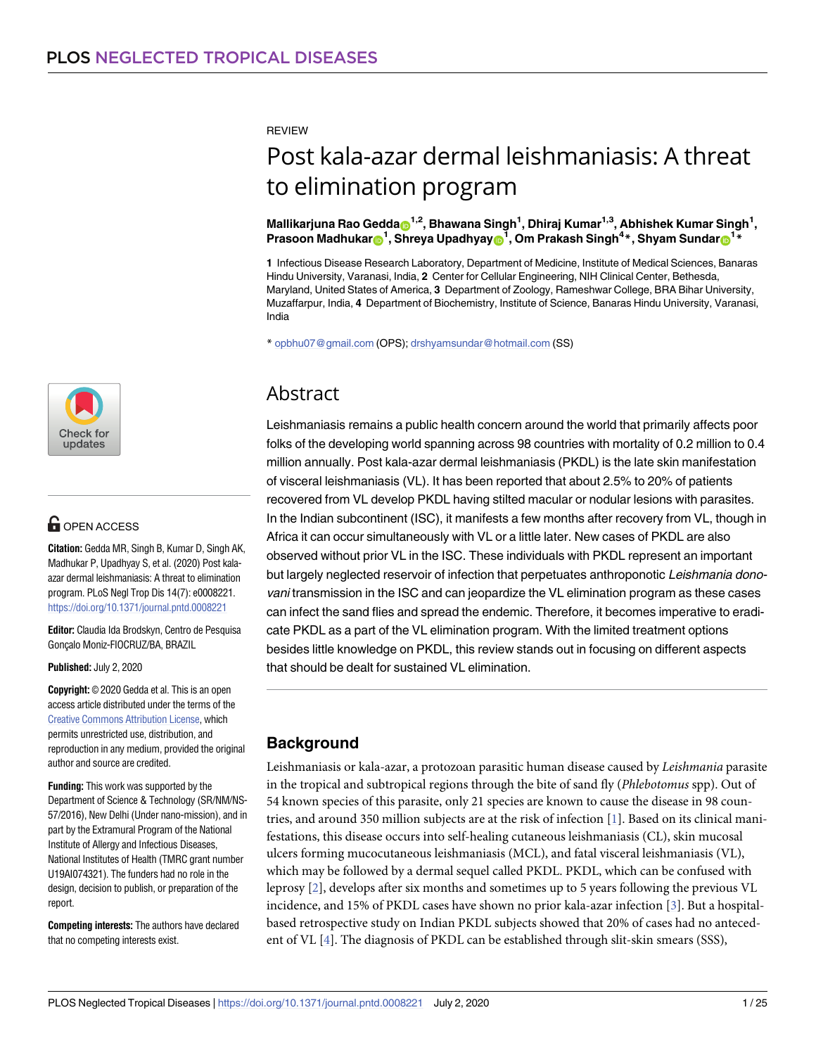<span id="page-0-0"></span>**REVIEW** 

# Post kala-azar dermal leishmaniasis: A threat to elimination program

 $\blacksquare$ Mallikarjuna Rao Gedda $\blacksquare^{1,2}$ , Bhawana Singh $^1$ , Dhiraj Kumar $^{1,3}$ , Abhishek Kumar Singh $^1$ ,  $\mathbf{P}$ rasoon Madhukar $\mathbf{P}^1$ , Shreya Upadhyay $\mathbf{P}^1$ , Om Prakash Singh<sup>4</sup>\*, Shyam Sundar $\mathbf{P}^{1*}$ 

**1** Infectious Disease Research Laboratory, Department of Medicine, Institute of Medical Sciences, Banaras Hindu University, Varanasi, India, **2** Center for Cellular Engineering, NIH Clinical Center, Bethesda, Maryland, United States of America, **3** Department of Zoology, Rameshwar College, BRA Bihar University, Muzaffarpur, India, **4** Department of Biochemistry, Institute of Science, Banaras Hindu University, Varanasi, India

\* opbhu07@gmail.com (OPS); drshyamsundar@hotmail.com (SS)

## Abstract

Leishmaniasis remains a public health concern around the world that primarily affects poor folks of the developing world spanning across 98 countries with mortality of 0.2 million to 0.4 million annually. Post kala-azar dermal leishmaniasis (PKDL) is the late skin manifestation of visceral leishmaniasis (VL). It has been reported that about 2.5% to 20% of patients recovered from VL develop PKDL having stilted macular or nodular lesions with parasites. In the Indian subcontinent (ISC), it manifests a few months after recovery from VL, though in Africa it can occur simultaneously with VL or a little later. New cases of PKDL are also observed without prior VL in the ISC. These individuals with PKDL represent an important but largely neglected reservoir of infection that perpetuates anthroponotic Leishmania donovani transmission in the ISC and can jeopardize the VL elimination program as these cases can infect the sand flies and spread the endemic. Therefore, it becomes imperative to eradicate PKDL as a part of the VL elimination program. With the limited treatment options besides little knowledge on PKDL, this review stands out in focusing on different aspects that should be dealt for sustained VL elimination.

## **Background**

Leishmaniasis or kala-azar, a protozoan parasitic human disease caused by *Leishmania* parasite in the tropical and subtropical regions through the bite of sand fly (*Phlebotomus* spp). Out of 54 known species of this parasite, only 21 species are known to cause the disease in 98 countries, and around 350 million subjects are at the risk of infection [[1\]](#page-13-0). Based on its clinical manifestations, this disease occurs into self-healing cutaneous leishmaniasis (CL), skin mucosal ulcers forming mucocutaneous leishmaniasis (MCL), and fatal visceral leishmaniasis (VL), which may be followed by a dermal sequel called PKDL. PKDL, which can be confused with leprosy [\[2](#page-13-0)], develops after six months and sometimes up to 5 years following the previous VL incidence, and 15% of PKDL cases have shown no prior kala-azar infection [\[3\]](#page-13-0). But a hospitalbased retrospective study on Indian PKDL subjects showed that 20% of cases had no antecedent of VL [\[4\]](#page-13-0). The diagnosis of PKDL can be established through slit-skin smears (SSS),



## **G** OPEN ACCESS

**Citation:** Gedda MR, Singh B, Kumar D, Singh AK, Madhukar P, Upadhyay S, et al. (2020) Post kalaazar dermal leishmaniasis: A threat to elimination program. PLoS Negl Trop Dis 14(7): e0008221. <https://doi.org/10.1371/journal.pntd.0008221>

**Editor:** Claudia Ida Brodskyn, Centro de Pesquisa Goncalo Moniz-FIOCRUZ/BA, BRAZIL

**Published:** July 2, 2020

**Copyright:** © 2020 Gedda et al. This is an open access article distributed under the terms of the Creative Commons [Attribution](http://creativecommons.org/licenses/by/4.0/) License, which permits unrestricted use, distribution, and reproduction in any medium, provided the original author and source are credited.

**Funding:** This work was supported by the Department of Science & Technology (SR/NM/NS-57/2016), New Delhi (Under nano-mission), and in part by the Extramural Program of the National Institute of Allergy and Infectious Diseases, National Institutes of Health (TMRC grant number U19AI074321). The funders had no role in the design, decision to publish, or preparation of the report.

**Competing interests:** The authors have declared that no competing interests exist.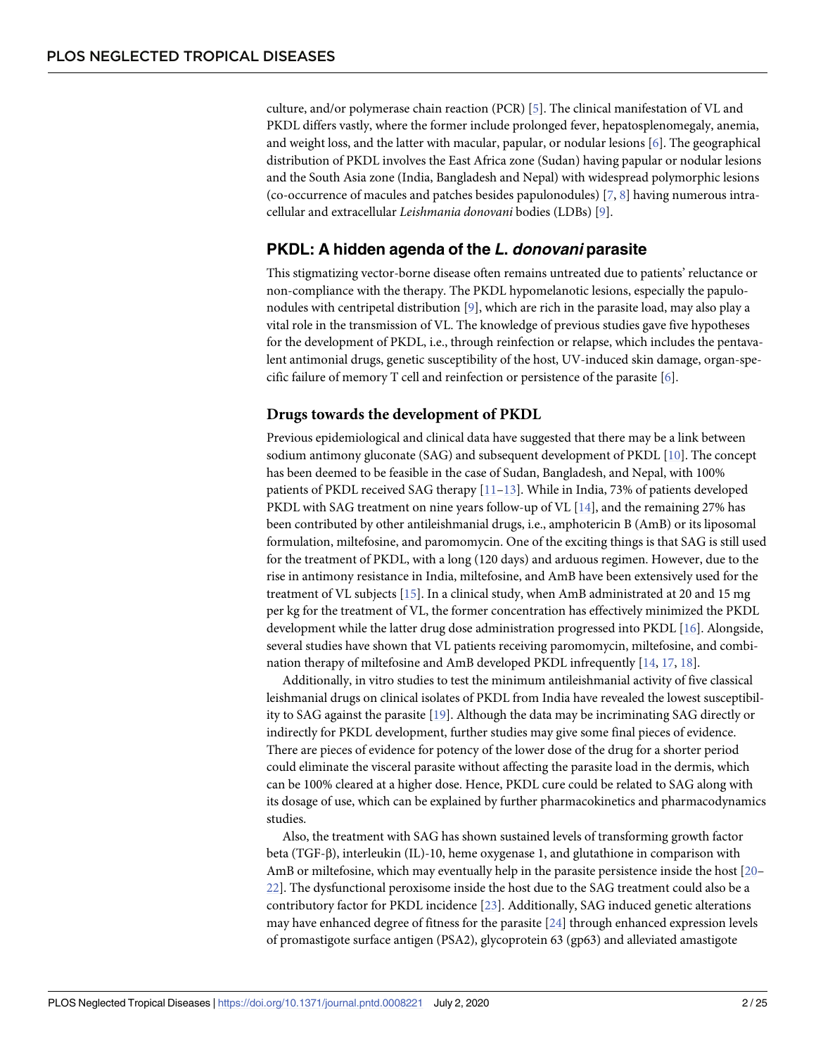<span id="page-1-0"></span>culture, and/or polymerase chain reaction (PCR) [[5\]](#page-13-0). The clinical manifestation of VL and PKDL differs vastly, where the former include prolonged fever, hepatosplenomegaly, anemia, and weight loss, and the latter with macular, papular, or nodular lesions [[6\]](#page-13-0). The geographical distribution of PKDL involves the East Africa zone (Sudan) having papular or nodular lesions and the South Asia zone (India, Bangladesh and Nepal) with widespread polymorphic lesions (co-occurrence of macules and patches besides papulonodules) [[7](#page-13-0), [8\]](#page-14-0) having numerous intracellular and extracellular *Leishmania donovani* bodies (LDBs) [[9\]](#page-14-0).

## **PKDL: A hidden agenda of the L. donovani parasite**

This stigmatizing vector-borne disease often remains untreated due to patients' reluctance or non-compliance with the therapy. The PKDL hypomelanotic lesions, especially the papulonodules with centripetal distribution [\[9](#page-14-0)], which are rich in the parasite load, may also play a vital role in the transmission of VL. The knowledge of previous studies gave five hypotheses for the development of PKDL, i.e., through reinfection or relapse, which includes the pentavalent antimonial drugs, genetic susceptibility of the host, UV-induced skin damage, organ-specific failure of memory T cell and reinfection or persistence of the parasite [[6\]](#page-13-0).

#### **Drugs towards the development of PKDL**

Previous epidemiological and clinical data have suggested that there may be a link between sodium antimony gluconate (SAG) and subsequent development of PKDL [\[10\]](#page-14-0). The concept has been deemed to be feasible in the case of Sudan, Bangladesh, and Nepal, with 100% patients of PKDL received SAG therapy [\[11–13](#page-14-0)]. While in India, 73% of patients developed PKDL with SAG treatment on nine years follow-up of VL [\[14\]](#page-14-0), and the remaining 27% has been contributed by other antileishmanial drugs, i.e., amphotericin B (AmB) or its liposomal formulation, miltefosine, and paromomycin. One of the exciting things is that SAG is still used for the treatment of PKDL, with a long (120 days) and arduous regimen. However, due to the rise in antimony resistance in India, miltefosine, and AmB have been extensively used for the treatment of VL subjects [\[15\]](#page-14-0). In a clinical study, when AmB administrated at 20 and 15 mg per kg for the treatment of VL, the former concentration has effectively minimized the PKDL development while the latter drug dose administration progressed into PKDL [\[16\]](#page-14-0). Alongside, several studies have shown that VL patients receiving paromomycin, miltefosine, and combination therapy of miltefosine and AmB developed PKDL infrequently [[14,](#page-14-0) [17](#page-14-0), [18\]](#page-14-0).

Additionally, in vitro studies to test the minimum antileishmanial activity of five classical leishmanial drugs on clinical isolates of PKDL from India have revealed the lowest susceptibility to SAG against the parasite [\[19\]](#page-14-0). Although the data may be incriminating SAG directly or indirectly for PKDL development, further studies may give some final pieces of evidence. There are pieces of evidence for potency of the lower dose of the drug for a shorter period could eliminate the visceral parasite without affecting the parasite load in the dermis, which can be 100% cleared at a higher dose. Hence, PKDL cure could be related to SAG along with its dosage of use, which can be explained by further pharmacokinetics and pharmacodynamics studies.

Also, the treatment with SAG has shown sustained levels of transforming growth factor beta (TGF-β), interleukin (IL)-10, heme oxygenase 1, and glutathione in comparison with AmB or miltefosine, which may eventually help in the parasite persistence inside the host [\[20](#page-14-0)– [22\]](#page-14-0). The dysfunctional peroxisome inside the host due to the SAG treatment could also be a contributory factor for PKDL incidence [[23](#page-14-0)]. Additionally, SAG induced genetic alterations may have enhanced degree of fitness for the parasite [\[24\]](#page-14-0) through enhanced expression levels of promastigote surface antigen (PSA2), glycoprotein 63 (gp63) and alleviated amastigote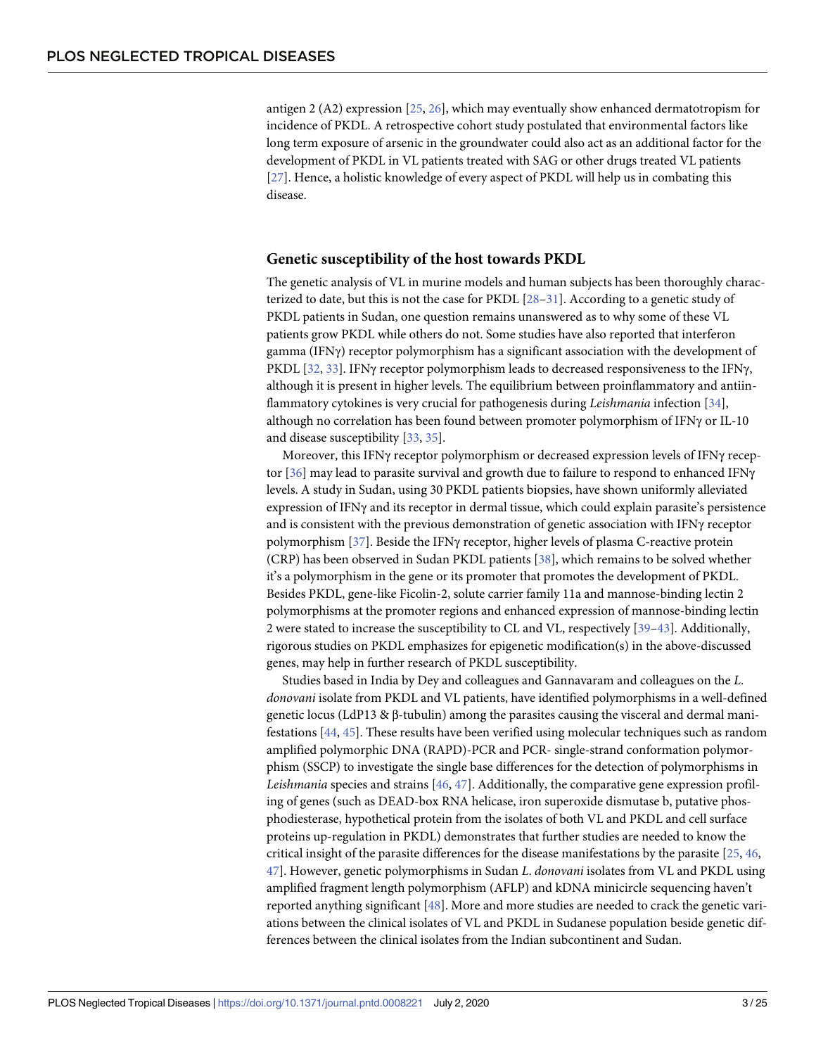<span id="page-2-0"></span>antigen 2 (A2) expression [[25](#page-14-0), [26](#page-14-0)], which may eventually show enhanced dermatotropism for incidence of PKDL. A retrospective cohort study postulated that environmental factors like long term exposure of arsenic in the groundwater could also act as an additional factor for the development of PKDL in VL patients treated with SAG or other drugs treated VL patients [\[27\]](#page-14-0). Hence, a holistic knowledge of every aspect of PKDL will help us in combating this disease.

#### **Genetic susceptibility of the host towards PKDL**

The genetic analysis of VL in murine models and human subjects has been thoroughly characterized to date, but this is not the case for PKDL [28-31]. According to a genetic study of PKDL patients in Sudan, one question remains unanswered as to why some of these VL patients grow PKDL while others do not. Some studies have also reported that interferon gamma (IFNγ) receptor polymorphism has a significant association with the development of PKDL [[32](#page-15-0), [33](#page-15-0)]. IFNy receptor polymorphism leads to decreased responsiveness to the IFN $\gamma$ , although it is present in higher levels. The equilibrium between proinflammatory and antiinflammatory cytokines is very crucial for pathogenesis during *Leishmania* infection [[34](#page-15-0)], although no correlation has been found between promoter polymorphism of IFNγ or IL-10 and disease susceptibility [\[33,](#page-15-0) [35\]](#page-15-0).

Moreover, this IFNγ receptor polymorphism or decreased expression levels of IFNγ receptor [\[36\]](#page-15-0) may lead to parasite survival and growth due to failure to respond to enhanced IFNγ levels. A study in Sudan, using 30 PKDL patients biopsies, have shown uniformly alleviated expression of IFNγ and its receptor in dermal tissue, which could explain parasite's persistence and is consistent with the previous demonstration of genetic association with IFNγ receptor polymorphism [[37](#page-15-0)]. Beside the IFNγ receptor, higher levels of plasma C-reactive protein (CRP) has been observed in Sudan PKDL patients [\[38\]](#page-15-0), which remains to be solved whether it's a polymorphism in the gene or its promoter that promotes the development of PKDL. Besides PKDL, gene-like Ficolin-2, solute carrier family 11a and mannose-binding lectin 2 polymorphisms at the promoter regions and enhanced expression of mannose-binding lectin 2 were stated to increase the susceptibility to CL and VL, respectively [[39–43\]](#page-15-0). Additionally, rigorous studies on PKDL emphasizes for epigenetic modification(s) in the above-discussed genes, may help in further research of PKDL susceptibility.

Studies based in India by Dey and colleagues and Gannavaram and colleagues on the *L*. *donovani* isolate from PKDL and VL patients, have identified polymorphisms in a well-defined genetic locus (LdP13 & β-tubulin) among the parasites causing the visceral and dermal manifestations [\[44,](#page-15-0) [45\]](#page-15-0). These results have been verified using molecular techniques such as random amplified polymorphic DNA (RAPD)-PCR and PCR- single-strand conformation polymorphism (SSCP) to investigate the single base differences for the detection of polymorphisms in *Leishmania* species and strains [\[46,](#page-15-0) [47\]](#page-16-0). Additionally, the comparative gene expression profiling of genes (such as DEAD-box RNA helicase, iron superoxide dismutase b, putative phosphodiesterase, hypothetical protein from the isolates of both VL and PKDL and cell surface proteins up-regulation in PKDL) demonstrates that further studies are needed to know the critical insight of the parasite differences for the disease manifestations by the parasite [\[25,](#page-14-0) [46,](#page-15-0) [47\]](#page-16-0). However, genetic polymorphisms in Sudan *L*. *donovani* isolates from VL and PKDL using amplified fragment length polymorphism (AFLP) and kDNA minicircle sequencing haven't reported anything significant [\[48\]](#page-16-0). More and more studies are needed to crack the genetic variations between the clinical isolates of VL and PKDL in Sudanese population beside genetic differences between the clinical isolates from the Indian subcontinent and Sudan.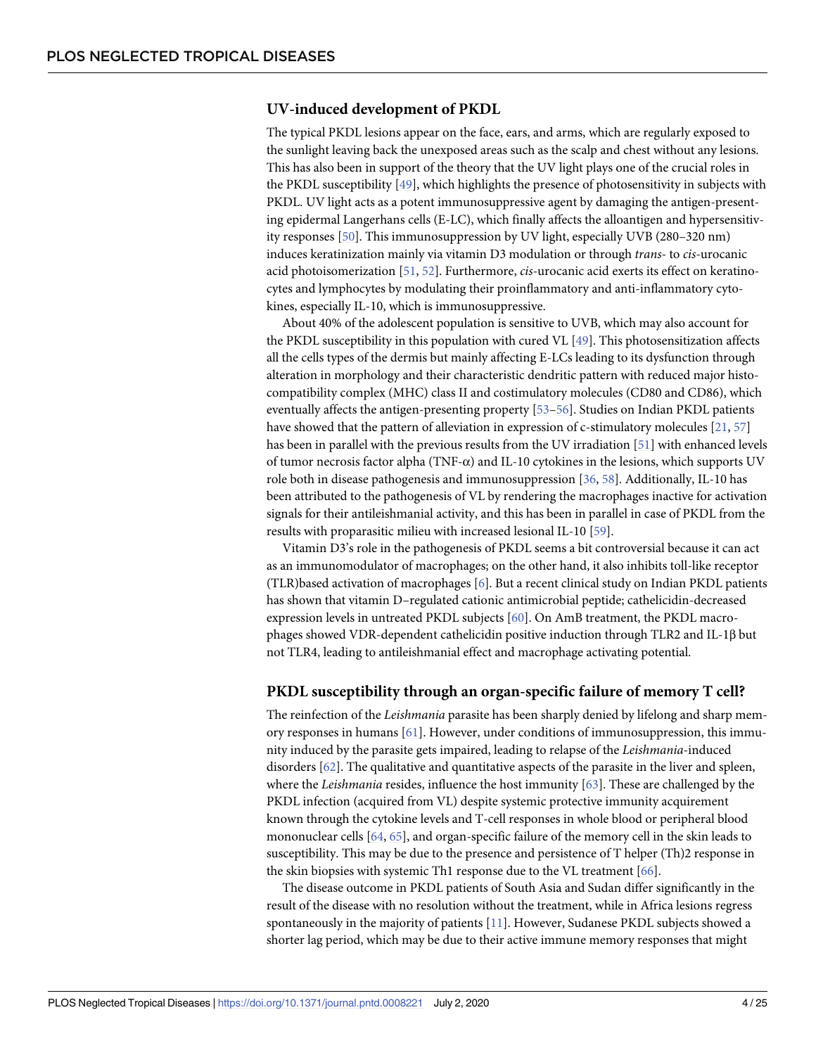## <span id="page-3-0"></span>**UV-induced development of PKDL**

The typical PKDL lesions appear on the face, ears, and arms, which are regularly exposed to the sunlight leaving back the unexposed areas such as the scalp and chest without any lesions. This has also been in support of the theory that the UV light plays one of the crucial roles in the PKDL susceptibility [[49](#page-16-0)], which highlights the presence of photosensitivity in subjects with PKDL. UV light acts as a potent immunosuppressive agent by damaging the antigen-presenting epidermal Langerhans cells (E-LC), which finally affects the alloantigen and hypersensitivity responses [[50](#page-16-0)]. This immunosuppression by UV light, especially UVB (280–320 nm) induces keratinization mainly via vitamin D3 modulation or through *trans*- to *cis*-urocanic acid photoisomerization [[51](#page-16-0), [52](#page-16-0)]. Furthermore, *cis*-urocanic acid exerts its effect on keratinocytes and lymphocytes by modulating their proinflammatory and anti-inflammatory cytokines, especially IL-10, which is immunosuppressive.

About 40% of the adolescent population is sensitive to UVB, which may also account for the PKDL susceptibility in this population with cured VL [\[49\]](#page-16-0). This photosensitization affects all the cells types of the dermis but mainly affecting E-LCs leading to its dysfunction through alteration in morphology and their characteristic dendritic pattern with reduced major histocompatibility complex (MHC) class II and costimulatory molecules (CD80 and CD86), which eventually affects the antigen-presenting property [[53](#page-16-0)–[56](#page-16-0)]. Studies on Indian PKDL patients have showed that the pattern of alleviation in expression of c-stimulatory molecules [[21](#page-14-0), [57](#page-16-0)] has been in parallel with the previous results from the UV irradiation [[51](#page-16-0)] with enhanced levels of tumor necrosis factor alpha (TNF-α) and IL-10 cytokines in the lesions, which supports UV role both in disease pathogenesis and immunosuppression [[36](#page-15-0), [58](#page-16-0)]. Additionally, IL-10 has been attributed to the pathogenesis of VL by rendering the macrophages inactive for activation signals for their antileishmanial activity, and this has been in parallel in case of PKDL from the results with proparasitic milieu with increased lesional IL-10 [[59](#page-16-0)].

Vitamin D3's role in the pathogenesis of PKDL seems a bit controversial because it can act as an immunomodulator of macrophages; on the other hand, it also inhibits toll-like receptor (TLR)based activation of macrophages [\[6\]](#page-13-0). But a recent clinical study on Indian PKDL patients has shown that vitamin D–regulated cationic antimicrobial peptide; cathelicidin-decreased expression levels in untreated PKDL subjects [[60](#page-16-0)]. On AmB treatment, the PKDL macrophages showed VDR-dependent cathelicidin positive induction through TLR2 and IL-1β but not TLR4, leading to antileishmanial effect and macrophage activating potential.

#### **PKDL susceptibility through an organ-specific failure of memory T cell?**

The reinfection of the *Leishmania* parasite has been sharply denied by lifelong and sharp memory responses in humans [[61](#page-16-0)]. However, under conditions of immunosuppression, this immunity induced by the parasite gets impaired, leading to relapse of the *Leishmania*-induced disorders [[62](#page-16-0)]. The qualitative and quantitative aspects of the parasite in the liver and spleen, where the *Leishmania* resides, influence the host immunity [[63](#page-16-0)]. These are challenged by the PKDL infection (acquired from VL) despite systemic protective immunity acquirement known through the cytokine levels and T-cell responses in whole blood or peripheral blood mononuclear cells [\[64,](#page-16-0) [65\]](#page-16-0), and organ-specific failure of the memory cell in the skin leads to susceptibility. This may be due to the presence and persistence of T helper (Th)2 response in the skin biopsies with systemic Th1 response due to the VL treatment [\[66\]](#page-17-0).

The disease outcome in PKDL patients of South Asia and Sudan differ significantly in the result of the disease with no resolution without the treatment, while in Africa lesions regress spontaneously in the majority of patients [\[11\]](#page-14-0). However, Sudanese PKDL subjects showed a shorter lag period, which may be due to their active immune memory responses that might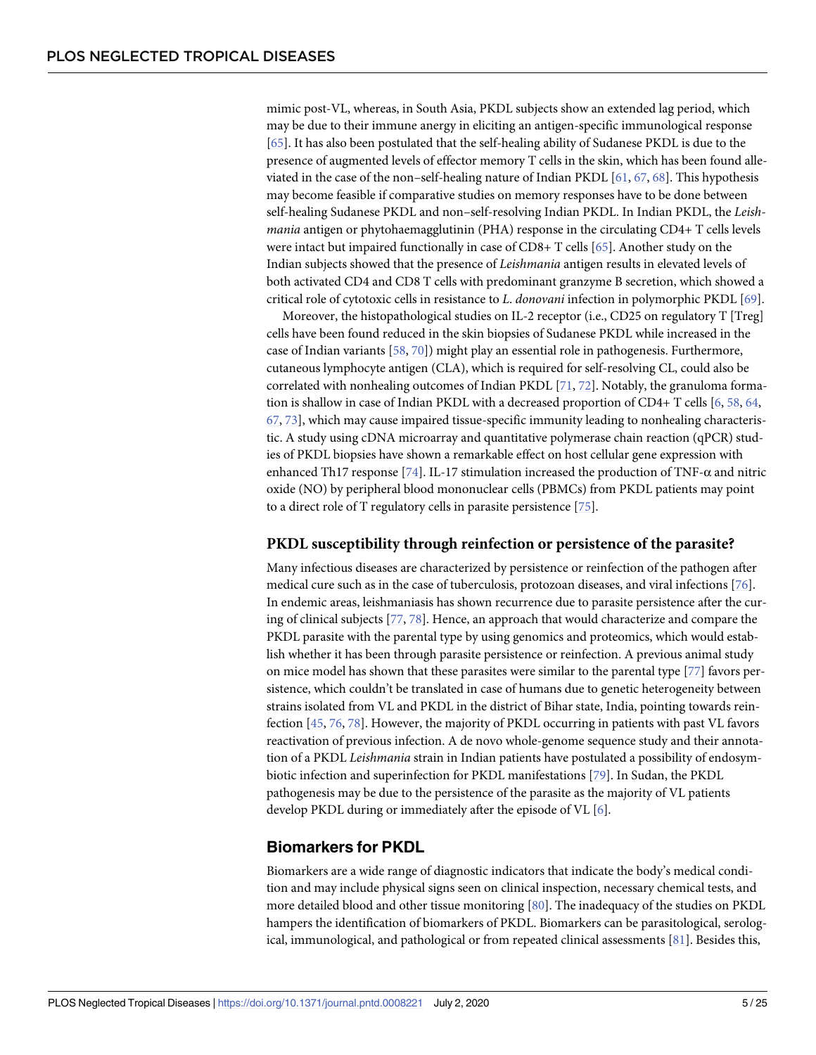<span id="page-4-0"></span>mimic post-VL, whereas, in South Asia, PKDL subjects show an extended lag period, which may be due to their immune anergy in eliciting an antigen-specific immunological response [\[65\]](#page-16-0). It has also been postulated that the self-healing ability of Sudanese PKDL is due to the presence of augmented levels of effector memory T cells in the skin, which has been found alleviated in the case of the non–self-healing nature of Indian PKDL [[61](#page-16-0), [67](#page-17-0), [68](#page-17-0)]. This hypothesis may become feasible if comparative studies on memory responses have to be done between self-healing Sudanese PKDL and non–self-resolving Indian PKDL. In Indian PKDL, the *Leishmania* antigen or phytohaemagglutinin (PHA) response in the circulating CD4+ T cells levels were intact but impaired functionally in case of CD8+ T cells [\[65\]](#page-16-0). Another study on the Indian subjects showed that the presence of *Leishmania* antigen results in elevated levels of both activated CD4 and CD8 T cells with predominant granzyme B secretion, which showed a critical role of cytotoxic cells in resistance to *L*. *donovani* infection in polymorphic PKDL [[69](#page-17-0)].

Moreover, the histopathological studies on IL-2 receptor (i.e., CD25 on regulatory T [Treg] cells have been found reduced in the skin biopsies of Sudanese PKDL while increased in the case of Indian variants [[58](#page-16-0), [70](#page-17-0)]) might play an essential role in pathogenesis. Furthermore, cutaneous lymphocyte antigen (CLA), which is required for self-resolving CL, could also be correlated with nonhealing outcomes of Indian PKDL [\[71,](#page-17-0) [72\]](#page-17-0). Notably, the granuloma formation is shallow in case of Indian PKDL with a decreased proportion of CD4+ T cells [\[6](#page-13-0), [58](#page-16-0), [64](#page-16-0), [67,](#page-17-0) [73](#page-17-0)], which may cause impaired tissue-specific immunity leading to nonhealing characteristic. A study using cDNA microarray and quantitative polymerase chain reaction (qPCR) studies of PKDL biopsies have shown a remarkable effect on host cellular gene expression with enhanced Th17 response [[74](#page-17-0)]. IL-17 stimulation increased the production of TNF- $\alpha$  and nitric oxide (NO) by peripheral blood mononuclear cells (PBMCs) from PKDL patients may point to a direct role of T regulatory cells in parasite persistence [\[75\]](#page-17-0).

#### **PKDL susceptibility through reinfection or persistence of the parasite?**

Many infectious diseases are characterized by persistence or reinfection of the pathogen after medical cure such as in the case of tuberculosis, protozoan diseases, and viral infections [[76](#page-17-0)]. In endemic areas, leishmaniasis has shown recurrence due to parasite persistence after the curing of clinical subjects [\[77,](#page-17-0) [78\]](#page-17-0). Hence, an approach that would characterize and compare the PKDL parasite with the parental type by using genomics and proteomics, which would establish whether it has been through parasite persistence or reinfection. A previous animal study on mice model has shown that these parasites were similar to the parental type [\[77\]](#page-17-0) favors persistence, which couldn't be translated in case of humans due to genetic heterogeneity between strains isolated from VL and PKDL in the district of Bihar state, India, pointing towards reinfection [\[45,](#page-15-0) [76,](#page-17-0) [78\]](#page-17-0). However, the majority of PKDL occurring in patients with past VL favors reactivation of previous infection. A de novo whole-genome sequence study and their annotation of a PKDL *Leishmania* strain in Indian patients have postulated a possibility of endosymbiotic infection and superinfection for PKDL manifestations [\[79\]](#page-17-0). In Sudan, the PKDL pathogenesis may be due to the persistence of the parasite as the majority of VL patients develop PKDL during or immediately after the episode of VL [\[6](#page-13-0)].

## **Biomarkers for PKDL**

Biomarkers are a wide range of diagnostic indicators that indicate the body's medical condition and may include physical signs seen on clinical inspection, necessary chemical tests, and more detailed blood and other tissue monitoring [\[80\]](#page-17-0). The inadequacy of the studies on PKDL hampers the identification of biomarkers of PKDL. Biomarkers can be parasitological, serological, immunological, and pathological or from repeated clinical assessments [[81](#page-17-0)]. Besides this,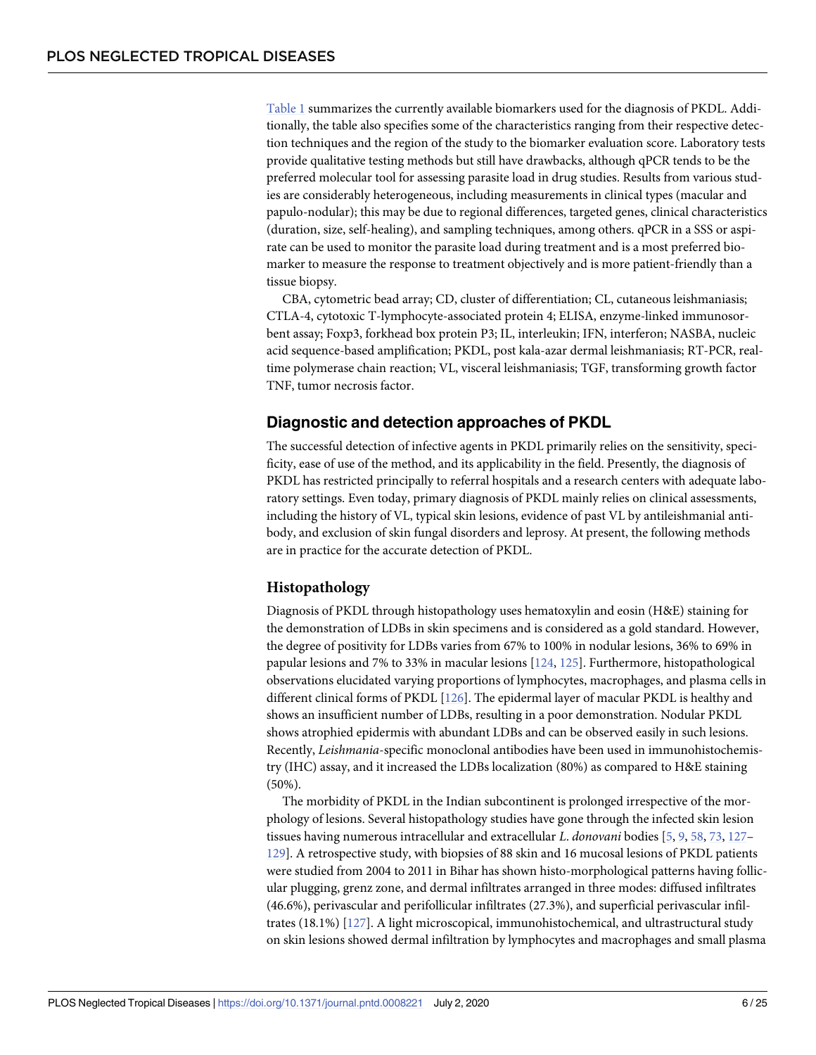<span id="page-5-0"></span>[Table](#page-6-0) 1 summarizes the currently available biomarkers used for the diagnosis of PKDL. Additionally, the table also specifies some of the characteristics ranging from their respective detection techniques and the region of the study to the biomarker evaluation score. Laboratory tests provide qualitative testing methods but still have drawbacks, although qPCR tends to be the preferred molecular tool for assessing parasite load in drug studies. Results from various studies are considerably heterogeneous, including measurements in clinical types (macular and papulo-nodular); this may be due to regional differences, targeted genes, clinical characteristics (duration, size, self-healing), and sampling techniques, among others. qPCR in a SSS or aspirate can be used to monitor the parasite load during treatment and is a most preferred biomarker to measure the response to treatment objectively and is more patient-friendly than a tissue biopsy.

CBA, cytometric bead array; CD, cluster of differentiation; CL, cutaneous leishmaniasis; CTLA-4, cytotoxic T-lymphocyte-associated protein 4; ELISA, enzyme-linked immunosorbent assay; Foxp3, forkhead box protein P3; IL, interleukin; IFN, interferon; NASBA, nucleic acid sequence-based amplification; PKDL, post kala-azar dermal leishmaniasis; RT-PCR, realtime polymerase chain reaction; VL, visceral leishmaniasis; TGF, transforming growth factor TNF, tumor necrosis factor.

## **Diagnostic and detection approaches of PKDL**

The successful detection of infective agents in PKDL primarily relies on the sensitivity, specificity, ease of use of the method, and its applicability in the field. Presently, the diagnosis of PKDL has restricted principally to referral hospitals and a research centers with adequate laboratory settings. Even today, primary diagnosis of PKDL mainly relies on clinical assessments, including the history of VL, typical skin lesions, evidence of past VL by antileishmanial antibody, and exclusion of skin fungal disorders and leprosy. At present, the following methods are in practice for the accurate detection of PKDL.

## **Histopathology**

Diagnosis of PKDL through histopathology uses hematoxylin and eosin (H&E) staining for the demonstration of LDBs in skin specimens and is considered as a gold standard. However, the degree of positivity for LDBs varies from 67% to 100% in nodular lesions, 36% to 69% in papular lesions and 7% to 33% in macular lesions [\[124,](#page-20-0) [125](#page-20-0)]. Furthermore, histopathological observations elucidated varying proportions of lymphocytes, macrophages, and plasma cells in different clinical forms of PKDL [[126](#page-20-0)]. The epidermal layer of macular PKDL is healthy and shows an insufficient number of LDBs, resulting in a poor demonstration. Nodular PKDL shows atrophied epidermis with abundant LDBs and can be observed easily in such lesions. Recently, *Leishmania*-specific monoclonal antibodies have been used in immunohistochemistry (IHC) assay, and it increased the LDBs localization (80%) as compared to H&E staining (50%).

The morbidity of PKDL in the Indian subcontinent is prolonged irrespective of the morphology of lesions. Several histopathology studies have gone through the infected skin lesion tissues having numerous intracellular and extracellular *L*. *donovani* bodies [\[5,](#page-13-0) [9,](#page-14-0) [58,](#page-16-0) [73,](#page-17-0) [127–](#page-20-0) [129](#page-20-0)]. A retrospective study, with biopsies of 88 skin and 16 mucosal lesions of PKDL patients were studied from 2004 to 2011 in Bihar has shown histo-morphological patterns having follicular plugging, grenz zone, and dermal infiltrates arranged in three modes: diffused infiltrates (46.6%), perivascular and perifollicular infiltrates (27.3%), and superficial perivascular infiltrates (18.1%) [[127\]](#page-20-0). A light microscopical, immunohistochemical, and ultrastructural study on skin lesions showed dermal infiltration by lymphocytes and macrophages and small plasma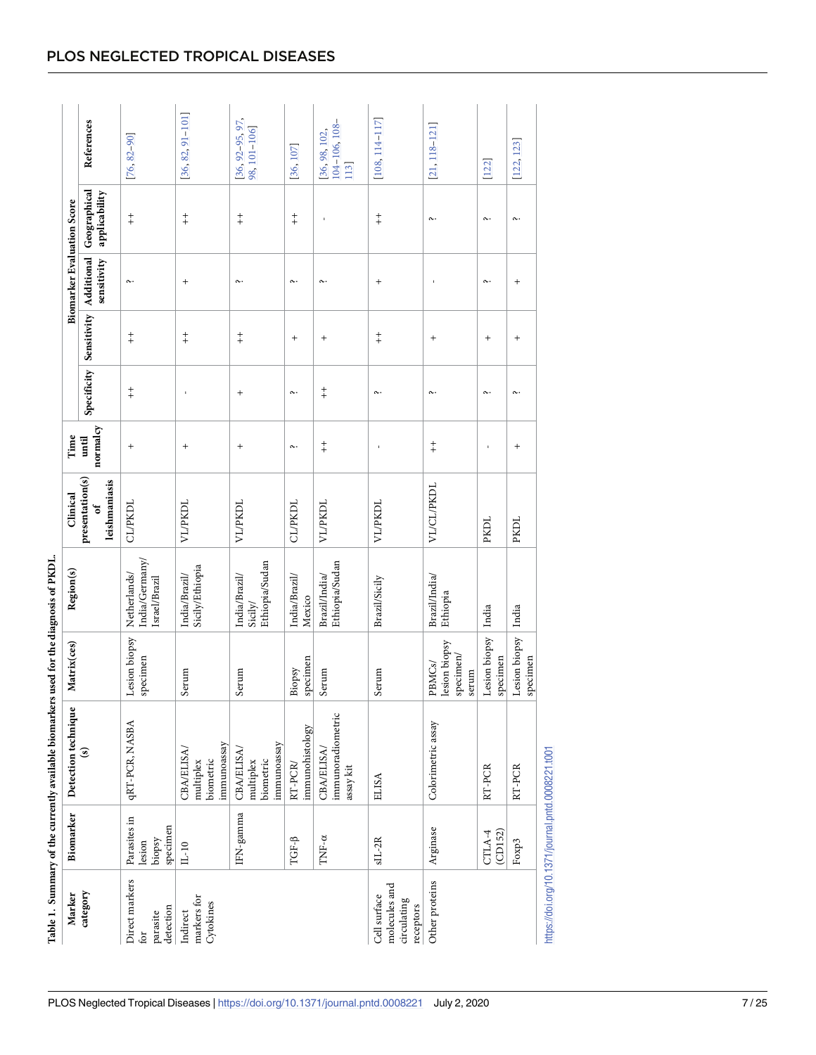| ֧֧֧ׅ֧֧֧֧֧֧֧֦֧֧֧֧֧֦֧֧֦֧֧֦֧֦֧֦֧֧֧֚֚֚֚֚֚֚֚֚֚֚֚֚֚֚֚֚֚֚֚֚֚֚֚֡֓֓֓֓֟֓֓֓֓֓֓֓֓֓֓֝֬֓֝֬֓<br>֧֧֧֪֪֧֜֜ |
|-------------------------------------------------------------------------------------------|
|                                                                                           |
|                                                                                           |
|                                                                                           |
|                                                                                           |
|                                                                                           |
|                                                                                           |
|                                                                                           |
| i                                                                                         |
|                                                                                           |
| ミミミニ                                                                                      |
|                                                                                           |
|                                                                                           |
|                                                                                           |
| こうきくう しくらい こうくう                                                                           |
| ļ                                                                                         |
|                                                                                           |
|                                                                                           |
|                                                                                           |
|                                                                                           |
|                                                                                           |
|                                                                                           |
|                                                                                           |
|                                                                                           |
| $\sim$ . The current is exactly in $\sim$<br>$\overline{a}$                               |
|                                                                                           |
|                                                                                           |
|                                                                                           |
|                                                                                           |
|                                                                                           |
| :                                                                                         |
| <b>September</b>                                                                          |
|                                                                                           |
|                                                                                           |
|                                                                                           |
|                                                                                           |
|                                                                                           |
|                                                                                           |
|                                                                                           |
|                                                                                           |
|                                                                                           |
|                                                                                           |
|                                                                                           |
|                                                                                           |
|                                                                                           |
|                                                                                           |
|                                                                                           |
|                                                                                           |
|                                                                                           |
| É                                                                                         |
| l                                                                                         |

|                                                           |                                              | Table 1. Summary of the currently available biomarkers used for the diagnosis of PKDL |                                                      |                                                 |                                       |                   |            |                                    |                                   |                               |                                       |
|-----------------------------------------------------------|----------------------------------------------|---------------------------------------------------------------------------------------|------------------------------------------------------|-------------------------------------------------|---------------------------------------|-------------------|------------|------------------------------------|-----------------------------------|-------------------------------|---------------------------------------|
| Marker                                                    | Biomarker                                    | Detection technique                                                                   | Matrix(ces)                                          | Region(s)                                       | Clinical                              | Time              |            |                                    | <b>Biomarker Evaluation Score</b> |                               |                                       |
| category                                                  |                                              | $\widehat{\mathbf{s}}$                                                                |                                                      |                                                 | presentation(s)<br>leishmaniasis<br>đ | normalcy<br>until |            | Specificity Sensitivity Additional | sensitivity                       | Geographical<br>applicability | References                            |
| Direct markers<br>detection<br>parasite<br>roj            | Parasites in<br>specimen<br>biopsy<br>lesion | <b>qRT-PCR, NASBA</b>                                                                 | Lesion biopsy<br>specimen                            | India/Germany/<br>Netherlands/<br>Israel/Brazil | <b>CL/PKDL</b>                        | $^{+}$            | $\ddagger$ | $\ddagger$                         | $\sim$                            | $\ddagger$                    | $[76, 82 - 90]$                       |
| markers for<br>Cytokines<br>Indirect                      | $IL-10$                                      | immunoassay<br><b>CBA/ELISA</b><br>biometric<br>multiplex                             | Serum                                                | Sicily/Ethiopia<br>India/Brazil/                | <b>VL/PKDL</b>                        | $^{+}$            |            | $\ddagger$                         | $^{+}$                            | $\ddagger$                    | $[36, 82, 91 - 101]$                  |
|                                                           | $IFN-gamma$                                  | immunoassay<br>CBA/ELISA/<br>biometric<br>multiplex                                   | Serum                                                | Ethiopia/Sudan<br>India/Brazil/<br>Sicily/      | <b>VL/PKDL</b>                        | $^{+}$            | $^{+}$     | $\ddagger$                         | $\sim$                            | $_+^+$                        | $[36, 92 - 95, 97]$<br>98, 101-106]   |
|                                                           | TGF-B                                        | immunohistology<br>RT-PCR                                                             | specimen<br>Biopsy                                   | India/Brazil/<br>Mexico                         | <b>CL/PKDL</b>                        | ς.                | $\sim$     | $^{+}$                             | $\sim$                            | $_+^+$                        | [36, 107]                             |
|                                                           | TNF- $\alpha$                                | immunoradiometric<br>CBA/ELISA,<br>$\operatorname{assay}\operatorname{kit}$           | Serum                                                | Ethiopia/Sudan<br>Brazil/India/                 | <b>VL/PKDL</b>                        | $\ddagger$        | $\ddagger$ | $^{+}$                             | $\sim$                            |                               | 104-106, 108-<br>[36, 98, 102,<br>113 |
| molecules and<br>Cell surface<br>circulating<br>receptors | $sL-2R$                                      | <b>ELISA</b>                                                                          | Serum                                                | Brazil/Sicily                                   | <b>VL/PKDL</b>                        |                   | $\sim$     | $\ddagger$                         | $^{+}$                            | $+$                           | $[108, 114 - 117]$                    |
| Other proteins                                            | Arginase                                     | Colorimetric assay                                                                    | lesion biopsy<br>specimen/<br><b>PBMCs/</b><br>serum | Brazil/India/<br>Ethiopia                       | VL/CL/PKDL                            | $\ddagger$        | $\sim$     | $^{+}$                             |                                   | ς.                            | $[21, 118 - 121]$                     |
|                                                           | (CD152)<br>CTLA-4                            | RT-PCR                                                                                | Lesion biopsy<br>specimen                            | India                                           | PKDL                                  |                   | $\sim$     | $^{+}$                             | $\sim$                            | $\sim$                        | [122]                                 |
|                                                           | Foxp3                                        | RT-PCR                                                                                | Lesion biopsy<br>specimen                            | India                                           | PKDL                                  | $\ddot{}$         | $\sim$     | $^{+}$                             | $^{+}$                            | $\sim$                        | [122, 123]                            |
| https://doi.org/10.1371/journal.pntd.0008221.t001         |                                              |                                                                                       |                                                      |                                                 |                                       |                   |            |                                    |                                   |                               |                                       |

## <span id="page-6-0"></span>PLOS NEGLECTED TROPICAL DISEASES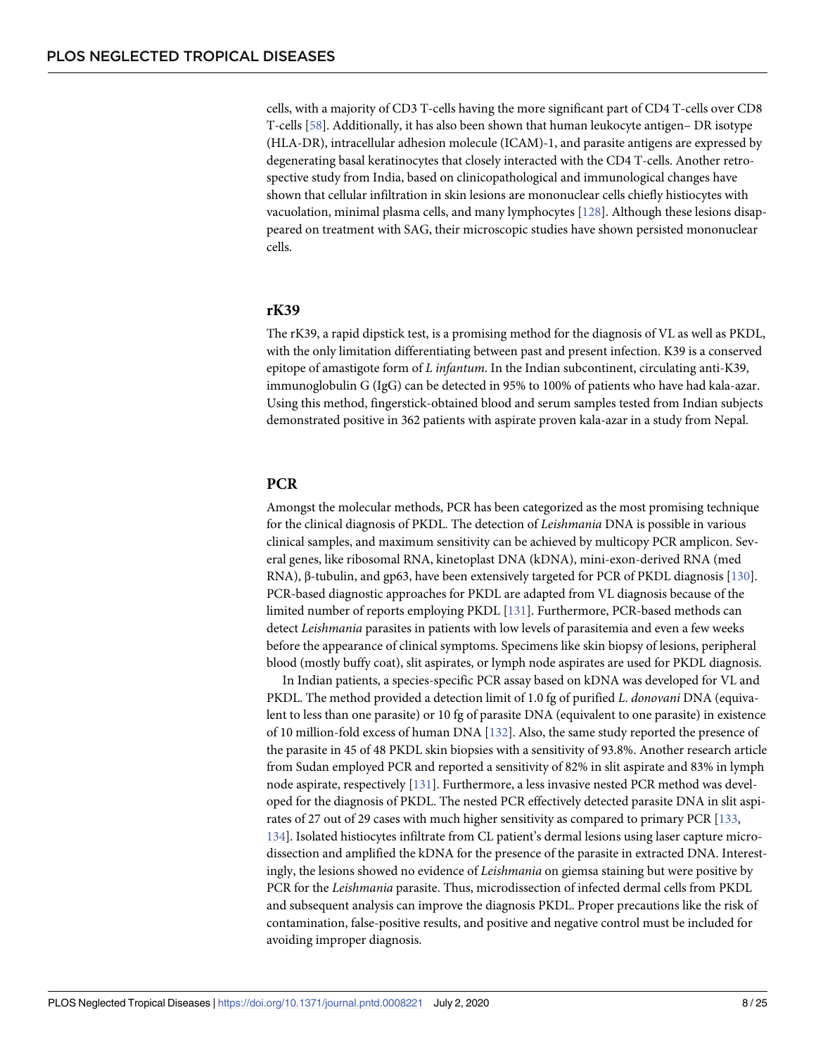<span id="page-7-0"></span>cells, with a majority of CD3 T-cells having the more significant part of CD4 T-cells over CD8 T-cells [\[58\]](#page-16-0). Additionally, it has also been shown that human leukocyte antigen– DR isotype (HLA-DR), intracellular adhesion molecule (ICAM)-1, and parasite antigens are expressed by degenerating basal keratinocytes that closely interacted with the CD4 T-cells. Another retrospective study from India, based on clinicopathological and immunological changes have shown that cellular infiltration in skin lesions are mononuclear cells chiefly histiocytes with vacuolation, minimal plasma cells, and many lymphocytes [[128](#page-20-0)]. Although these lesions disappeared on treatment with SAG, their microscopic studies have shown persisted mononuclear cells.

#### **rK39**

The rK39, a rapid dipstick test, is a promising method for the diagnosis of VL as well as PKDL, with the only limitation differentiating between past and present infection. K39 is a conserved epitope of amastigote form of *L infantum*. In the Indian subcontinent, circulating anti-K39, immunoglobulin G (IgG) can be detected in 95% to 100% of patients who have had kala-azar. Using this method, fingerstick-obtained blood and serum samples tested from Indian subjects demonstrated positive in 362 patients with aspirate proven kala-azar in a study from Nepal.

## **PCR**

Amongst the molecular methods, PCR has been categorized as the most promising technique for the clinical diagnosis of PKDL. The detection of *Leishmania* DNA is possible in various clinical samples, and maximum sensitivity can be achieved by multicopy PCR amplicon. Several genes, like ribosomal RNA, kinetoplast DNA (kDNA), mini-exon-derived RNA (med RNA), β-tubulin, and gp63, have been extensively targeted for PCR of PKDL diagnosis [[130\]](#page-20-0). PCR-based diagnostic approaches for PKDL are adapted from VL diagnosis because of the limited number of reports employing PKDL [\[131](#page-20-0)]. Furthermore, PCR-based methods can detect *Leishmania* parasites in patients with low levels of parasitemia and even a few weeks before the appearance of clinical symptoms. Specimens like skin biopsy of lesions, peripheral blood (mostly buffy coat), slit aspirates, or lymph node aspirates are used for PKDL diagnosis.

In Indian patients, a species-specific PCR assay based on kDNA was developed for VL and PKDL. The method provided a detection limit of 1.0 fg of purified *L*. *donovani* DNA (equivalent to less than one parasite) or 10 fg of parasite DNA (equivalent to one parasite) in existence of 10 million-fold excess of human DNA [\[132](#page-20-0)]. Also, the same study reported the presence of the parasite in 45 of 48 PKDL skin biopsies with a sensitivity of 93.8%. Another research article from Sudan employed PCR and reported a sensitivity of 82% in slit aspirate and 83% in lymph node aspirate, respectively [\[131](#page-20-0)]. Furthermore, a less invasive nested PCR method was developed for the diagnosis of PKDL. The nested PCR effectively detected parasite DNA in slit aspirates of 27 out of 29 cases with much higher sensitivity as compared to primary PCR [\[133,](#page-20-0) [134](#page-20-0)]. Isolated histiocytes infiltrate from CL patient's dermal lesions using laser capture microdissection and amplified the kDNA for the presence of the parasite in extracted DNA. Interestingly, the lesions showed no evidence of *Leishmania* on giemsa staining but were positive by PCR for the *Leishmania* parasite. Thus, microdissection of infected dermal cells from PKDL and subsequent analysis can improve the diagnosis PKDL. Proper precautions like the risk of contamination, false-positive results, and positive and negative control must be included for avoiding improper diagnosis.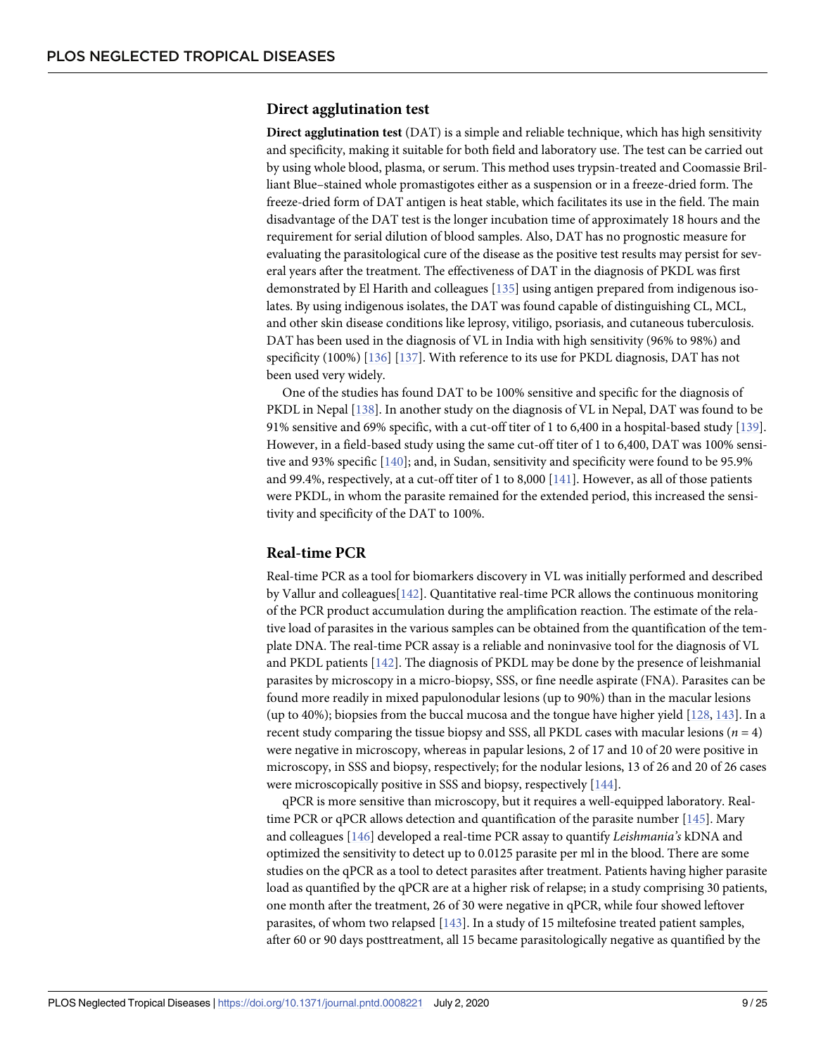#### <span id="page-8-0"></span>**Direct agglutination test**

**Direct agglutination test** (DAT) is a simple and reliable technique, which has high sensitivity and specificity, making it suitable for both field and laboratory use. The test can be carried out by using whole blood, plasma, or serum. This method uses trypsin-treated and Coomassie Brilliant Blue–stained whole promastigotes either as a suspension or in a freeze-dried form. The freeze-dried form of DAT antigen is heat stable, which facilitates its use in the field. The main disadvantage of the DAT test is the longer incubation time of approximately 18 hours and the requirement for serial dilution of blood samples. Also, DAT has no prognostic measure for evaluating the parasitological cure of the disease as the positive test results may persist for several years after the treatment. The effectiveness of DAT in the diagnosis of PKDL was first demonstrated by El Harith and colleagues [\[135](#page-20-0)] using antigen prepared from indigenous isolates. By using indigenous isolates, the DAT was found capable of distinguishing CL, MCL, and other skin disease conditions like leprosy, vitiligo, psoriasis, and cutaneous tuberculosis. DAT has been used in the diagnosis of VL in India with high sensitivity (96% to 98%) and specificity (100%) [\[136\]](#page-20-0) [[137\]](#page-20-0). With reference to its use for PKDL diagnosis, DAT has not been used very widely.

One of the studies has found DAT to be 100% sensitive and specific for the diagnosis of PKDL in Nepal [[138](#page-20-0)]. In another study on the diagnosis of VL in Nepal, DAT was found to be 91% sensitive and 69% specific, with a cut-off titer of 1 to 6,400 in a hospital-based study [\[139\]](#page-20-0). However, in a field-based study using the same cut-off titer of 1 to 6,400, DAT was 100% sensi-tive and 93% specific [[140\]](#page-21-0); and, in Sudan, sensitivity and specificity were found to be 95.9% and 99.4%, respectively, at a cut-off titer of 1 to 8,000 [\[141](#page-21-0)]. However, as all of those patients were PKDL, in whom the parasite remained for the extended period, this increased the sensitivity and specificity of the DAT to 100%.

#### **Real-time PCR**

Real-time PCR as a tool for biomarkers discovery in VL was initially performed and described by Vallur and colleagues[\[142\]](#page-21-0). Quantitative real-time PCR allows the continuous monitoring of the PCR product accumulation during the amplification reaction. The estimate of the relative load of parasites in the various samples can be obtained from the quantification of the template DNA. The real-time PCR assay is a reliable and noninvasive tool for the diagnosis of VL and PKDL patients [[142\]](#page-21-0). The diagnosis of PKDL may be done by the presence of leishmanial parasites by microscopy in a micro-biopsy, SSS, or fine needle aspirate (FNA). Parasites can be found more readily in mixed papulonodular lesions (up to 90%) than in the macular lesions (up to 40%); biopsies from the buccal mucosa and the tongue have higher yield [\[128,](#page-20-0) [143](#page-21-0)]. In a recent study comparing the tissue biopsy and SSS, all PKDL cases with macular lesions ( $n = 4$ ) were negative in microscopy, whereas in papular lesions, 2 of 17 and 10 of 20 were positive in microscopy, in SSS and biopsy, respectively; for the nodular lesions, 13 of 26 and 20 of 26 cases were microscopically positive in SSS and biopsy, respectively [\[144\]](#page-21-0).

qPCR is more sensitive than microscopy, but it requires a well-equipped laboratory. Realtime PCR or qPCR allows detection and quantification of the parasite number [\[145\]](#page-21-0). Mary and colleagues [[146\]](#page-21-0) developed a real-time PCR assay to quantify *Leishmania's* kDNA and optimized the sensitivity to detect up to 0.0125 parasite per ml in the blood. There are some studies on the qPCR as a tool to detect parasites after treatment. Patients having higher parasite load as quantified by the qPCR are at a higher risk of relapse; in a study comprising 30 patients, one month after the treatment, 26 of 30 were negative in qPCR, while four showed leftover parasites, of whom two relapsed [[143\]](#page-21-0). In a study of 15 miltefosine treated patient samples, after 60 or 90 days posttreatment, all 15 became parasitologically negative as quantified by the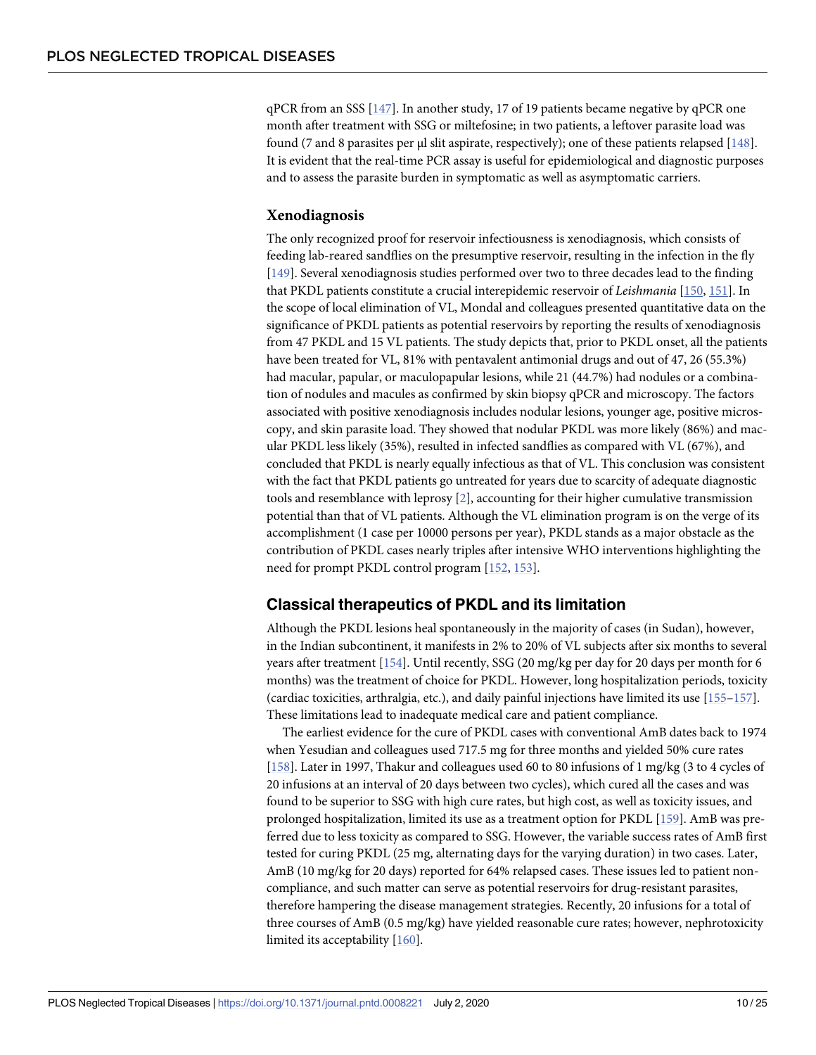<span id="page-9-0"></span>qPCR from an SSS [[147\]](#page-21-0). In another study, 17 of 19 patients became negative by qPCR one month after treatment with SSG or miltefosine; in two patients, a leftover parasite load was found (7 and 8 parasites per μl slit aspirate, respectively); one of these patients relapsed [[148\]](#page-21-0). It is evident that the real-time PCR assay is useful for epidemiological and diagnostic purposes and to assess the parasite burden in symptomatic as well as asymptomatic carriers.

#### **Xenodiagnosis**

The only recognized proof for reservoir infectiousness is xenodiagnosis, which consists of feeding lab-reared sandflies on the presumptive reservoir, resulting in the infection in the fly [\[149\]](#page-21-0). Several xenodiagnosis studies performed over two to three decades lead to the finding that PKDL patients constitute a crucial interepidemic reservoir of *Leishmania* [\[150,](#page-21-0) [151](#page-21-0)]. In the scope of local elimination of VL, Mondal and colleagues presented quantitative data on the significance of PKDL patients as potential reservoirs by reporting the results of xenodiagnosis from 47 PKDL and 15 VL patients. The study depicts that, prior to PKDL onset, all the patients have been treated for VL, 81% with pentavalent antimonial drugs and out of 47, 26 (55.3%) had macular, papular, or maculopapular lesions, while 21 (44.7%) had nodules or a combination of nodules and macules as confirmed by skin biopsy qPCR and microscopy. The factors associated with positive xenodiagnosis includes nodular lesions, younger age, positive microscopy, and skin parasite load. They showed that nodular PKDL was more likely (86%) and macular PKDL less likely (35%), resulted in infected sandflies as compared with VL (67%), and concluded that PKDL is nearly equally infectious as that of VL. This conclusion was consistent with the fact that PKDL patients go untreated for years due to scarcity of adequate diagnostic tools and resemblance with leprosy [\[2\]](#page-13-0), accounting for their higher cumulative transmission potential than that of VL patients. Although the VL elimination program is on the verge of its accomplishment (1 case per 10000 persons per year), PKDL stands as a major obstacle as the contribution of PKDL cases nearly triples after intensive WHO interventions highlighting the need for prompt PKDL control program [[152,](#page-21-0) [153\]](#page-21-0).

## **Classical therapeutics of PKDL and its limitation**

Although the PKDL lesions heal spontaneously in the majority of cases (in Sudan), however, in the Indian subcontinent, it manifests in 2% to 20% of VL subjects after six months to several years after treatment [[154](#page-21-0)]. Until recently, SSG (20 mg/kg per day for 20 days per month for 6 months) was the treatment of choice for PKDL. However, long hospitalization periods, toxicity (cardiac toxicities, arthralgia, etc.), and daily painful injections have limited its use [\[155](#page-21-0)–[157\]](#page-21-0). These limitations lead to inadequate medical care and patient compliance.

The earliest evidence for the cure of PKDL cases with conventional AmB dates back to 1974 when Yesudian and colleagues used 717.5 mg for three months and yielded 50% cure rates [\[158\]](#page-21-0). Later in 1997, Thakur and colleagues used 60 to 80 infusions of 1 mg/kg (3 to 4 cycles of 20 infusions at an interval of 20 days between two cycles), which cured all the cases and was found to be superior to SSG with high cure rates, but high cost, as well as toxicity issues, and prolonged hospitalization, limited its use as a treatment option for PKDL [\[159\]](#page-21-0). AmB was preferred due to less toxicity as compared to SSG. However, the variable success rates of AmB first tested for curing PKDL (25 mg, alternating days for the varying duration) in two cases. Later, AmB (10 mg/kg for 20 days) reported for 64% relapsed cases. These issues led to patient noncompliance, and such matter can serve as potential reservoirs for drug-resistant parasites, therefore hampering the disease management strategies. Recently, 20 infusions for a total of three courses of AmB (0.5 mg/kg) have yielded reasonable cure rates; however, nephrotoxicity limited its acceptability [[160\]](#page-22-0).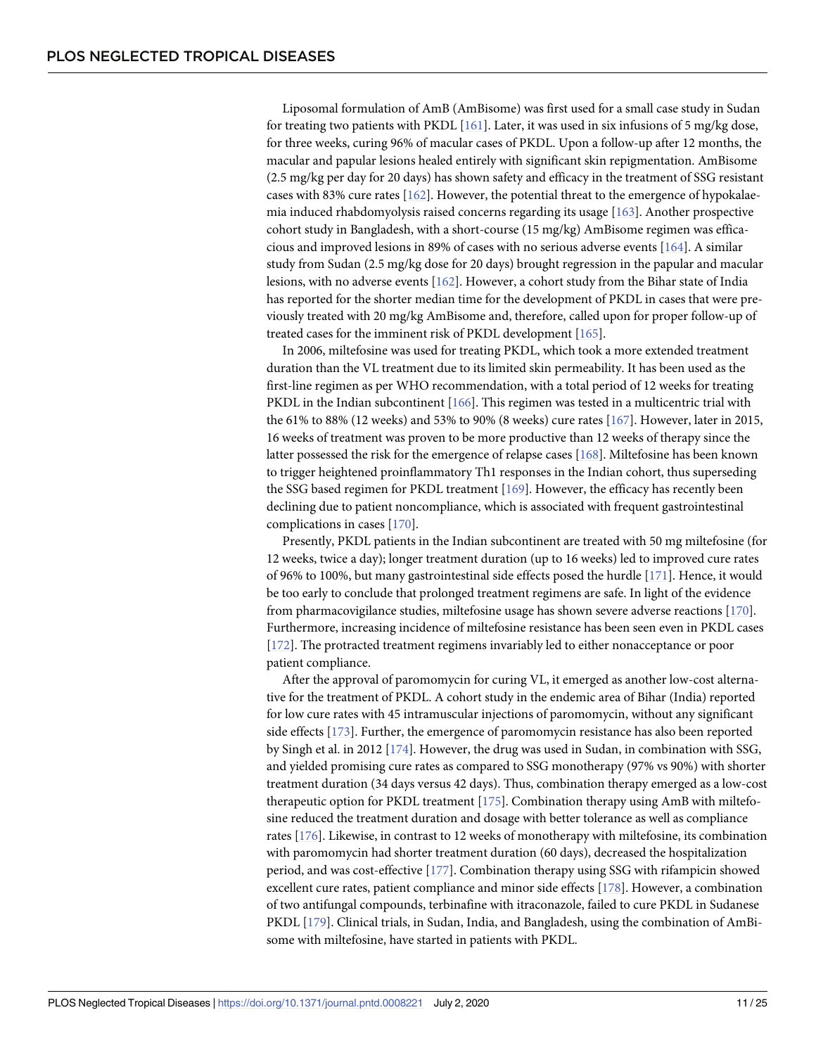<span id="page-10-0"></span>Liposomal formulation of AmB (AmBisome) was first used for a small case study in Sudan for treating two patients with PKDL [[161\]](#page-22-0). Later, it was used in six infusions of 5 mg/kg dose, for three weeks, curing 96% of macular cases of PKDL. Upon a follow-up after 12 months, the macular and papular lesions healed entirely with significant skin repigmentation. AmBisome (2.5 mg/kg per day for 20 days) has shown safety and efficacy in the treatment of SSG resistant cases with 83% cure rates  $[162]$  $[162]$ . However, the potential threat to the emergence of hypokalaemia induced rhabdomyolysis raised concerns regarding its usage [\[163](#page-22-0)]. Another prospective cohort study in Bangladesh, with a short-course (15 mg/kg) AmBisome regimen was efficacious and improved lesions in 89% of cases with no serious adverse events [[164](#page-22-0)]. A similar study from Sudan (2.5 mg/kg dose for 20 days) brought regression in the papular and macular lesions, with no adverse events [\[162](#page-22-0)]. However, a cohort study from the Bihar state of India has reported for the shorter median time for the development of PKDL in cases that were previously treated with 20 mg/kg AmBisome and, therefore, called upon for proper follow-up of treated cases for the imminent risk of PKDL development [[165](#page-22-0)].

In 2006, miltefosine was used for treating PKDL, which took a more extended treatment duration than the VL treatment due to its limited skin permeability. It has been used as the first-line regimen as per WHO recommendation, with a total period of 12 weeks for treating PKDL in the Indian subcontinent [\[166\]](#page-22-0). This regimen was tested in a multicentric trial with the 61% to 88% (12 weeks) and 53% to 90% (8 weeks) cure rates [\[167](#page-22-0)]. However, later in 2015, 16 weeks of treatment was proven to be more productive than 12 weeks of therapy since the latter possessed the risk for the emergence of relapse cases [\[168](#page-22-0)]. Miltefosine has been known to trigger heightened proinflammatory Th1 responses in the Indian cohort, thus superseding the SSG based regimen for PKDL treatment [[169\]](#page-22-0). However, the efficacy has recently been declining due to patient noncompliance, which is associated with frequent gastrointestinal complications in cases [\[170\]](#page-22-0).

Presently, PKDL patients in the Indian subcontinent are treated with 50 mg miltefosine (for 12 weeks, twice a day); longer treatment duration (up to 16 weeks) led to improved cure rates of 96% to 100%, but many gastrointestinal side effects posed the hurdle [\[171](#page-22-0)]. Hence, it would be too early to conclude that prolonged treatment regimens are safe. In light of the evidence from pharmacovigilance studies, miltefosine usage has shown severe adverse reactions [[170](#page-22-0)]. Furthermore, increasing incidence of miltefosine resistance has been seen even in PKDL cases [\[172\]](#page-22-0). The protracted treatment regimens invariably led to either nonacceptance or poor patient compliance.

After the approval of paromomycin for curing VL, it emerged as another low-cost alternative for the treatment of PKDL. A cohort study in the endemic area of Bihar (India) reported for low cure rates with 45 intramuscular injections of paromomycin, without any significant side effects [[173\]](#page-22-0). Further, the emergence of paromomycin resistance has also been reported by Singh et al. in 2012 [[174\]](#page-22-0). However, the drug was used in Sudan, in combination with SSG, and yielded promising cure rates as compared to SSG monotherapy (97% vs 90%) with shorter treatment duration (34 days versus 42 days). Thus, combination therapy emerged as a low-cost therapeutic option for PKDL treatment [[175](#page-22-0)]. Combination therapy using AmB with miltefosine reduced the treatment duration and dosage with better tolerance as well as compliance rates [\[176\]](#page-23-0). Likewise, in contrast to 12 weeks of monotherapy with miltefosine, its combination with paromomycin had shorter treatment duration (60 days), decreased the hospitalization period, and was cost-effective [[177](#page-23-0)]. Combination therapy using SSG with rifampicin showed excellent cure rates, patient compliance and minor side effects [[178](#page-23-0)]. However, a combination of two antifungal compounds, terbinafine with itraconazole, failed to cure PKDL in Sudanese PKDL [[179\]](#page-23-0). Clinical trials, in Sudan, India, and Bangladesh, using the combination of AmBisome with miltefosine, have started in patients with PKDL.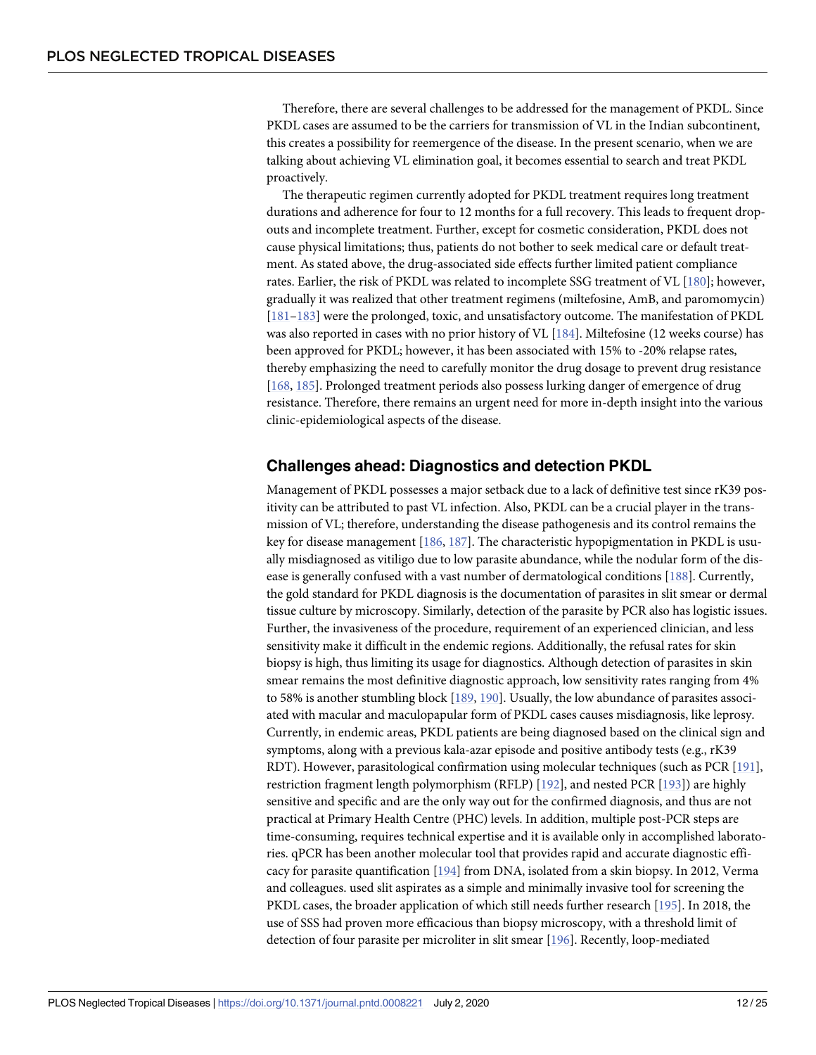<span id="page-11-0"></span>Therefore, there are several challenges to be addressed for the management of PKDL. Since PKDL cases are assumed to be the carriers for transmission of VL in the Indian subcontinent, this creates a possibility for reemergence of the disease. In the present scenario, when we are talking about achieving VL elimination goal, it becomes essential to search and treat PKDL proactively.

The therapeutic regimen currently adopted for PKDL treatment requires long treatment durations and adherence for four to 12 months for a full recovery. This leads to frequent dropouts and incomplete treatment. Further, except for cosmetic consideration, PKDL does not cause physical limitations; thus, patients do not bother to seek medical care or default treatment. As stated above, the drug-associated side effects further limited patient compliance rates. Earlier, the risk of PKDL was related to incomplete SSG treatment of VL [[180](#page-23-0)]; however, gradually it was realized that other treatment regimens (miltefosine, AmB, and paromomycin) [\[181–183](#page-23-0)] were the prolonged, toxic, and unsatisfactory outcome. The manifestation of PKDL was also reported in cases with no prior history of VL [\[184\]](#page-23-0). Miltefosine (12 weeks course) has been approved for PKDL; however, it has been associated with 15% to -20% relapse rates, thereby emphasizing the need to carefully monitor the drug dosage to prevent drug resistance [\[168,](#page-22-0) [185](#page-23-0)]. Prolonged treatment periods also possess lurking danger of emergence of drug resistance. Therefore, there remains an urgent need for more in-depth insight into the various clinic-epidemiological aspects of the disease.

## **Challenges ahead: Diagnostics and detection PKDL**

Management of PKDL possesses a major setback due to a lack of definitive test since rK39 positivity can be attributed to past VL infection. Also, PKDL can be a crucial player in the transmission of VL; therefore, understanding the disease pathogenesis and its control remains the key for disease management [[186,](#page-23-0) [187\]](#page-23-0). The characteristic hypopigmentation in PKDL is usually misdiagnosed as vitiligo due to low parasite abundance, while the nodular form of the disease is generally confused with a vast number of dermatological conditions [\[188\]](#page-23-0). Currently, the gold standard for PKDL diagnosis is the documentation of parasites in slit smear or dermal tissue culture by microscopy. Similarly, detection of the parasite by PCR also has logistic issues. Further, the invasiveness of the procedure, requirement of an experienced clinician, and less sensitivity make it difficult in the endemic regions. Additionally, the refusal rates for skin biopsy is high, thus limiting its usage for diagnostics. Although detection of parasites in skin smear remains the most definitive diagnostic approach, low sensitivity rates ranging from 4% to 58% is another stumbling block [\[189,](#page-23-0) [190](#page-23-0)]. Usually, the low abundance of parasites associated with macular and maculopapular form of PKDL cases causes misdiagnosis, like leprosy. Currently, in endemic areas, PKDL patients are being diagnosed based on the clinical sign and symptoms, along with a previous kala-azar episode and positive antibody tests (e.g., rK39 RDT). However, parasitological confirmation using molecular techniques (such as PCR [[191](#page-23-0)], restriction fragment length polymorphism (RFLP) [[192](#page-23-0)], and nested PCR [\[193\]](#page-24-0)) are highly sensitive and specific and are the only way out for the confirmed diagnosis, and thus are not practical at Primary Health Centre (PHC) levels. In addition, multiple post-PCR steps are time-consuming, requires technical expertise and it is available only in accomplished laboratories. qPCR has been another molecular tool that provides rapid and accurate diagnostic efficacy for parasite quantification [\[194\]](#page-24-0) from DNA, isolated from a skin biopsy. In 2012, Verma and colleagues. used slit aspirates as a simple and minimally invasive tool for screening the PKDL cases, the broader application of which still needs further research [\[195](#page-24-0)]. In 2018, the use of SSS had proven more efficacious than biopsy microscopy, with a threshold limit of detection of four parasite per microliter in slit smear [\[196\]](#page-24-0). Recently, loop-mediated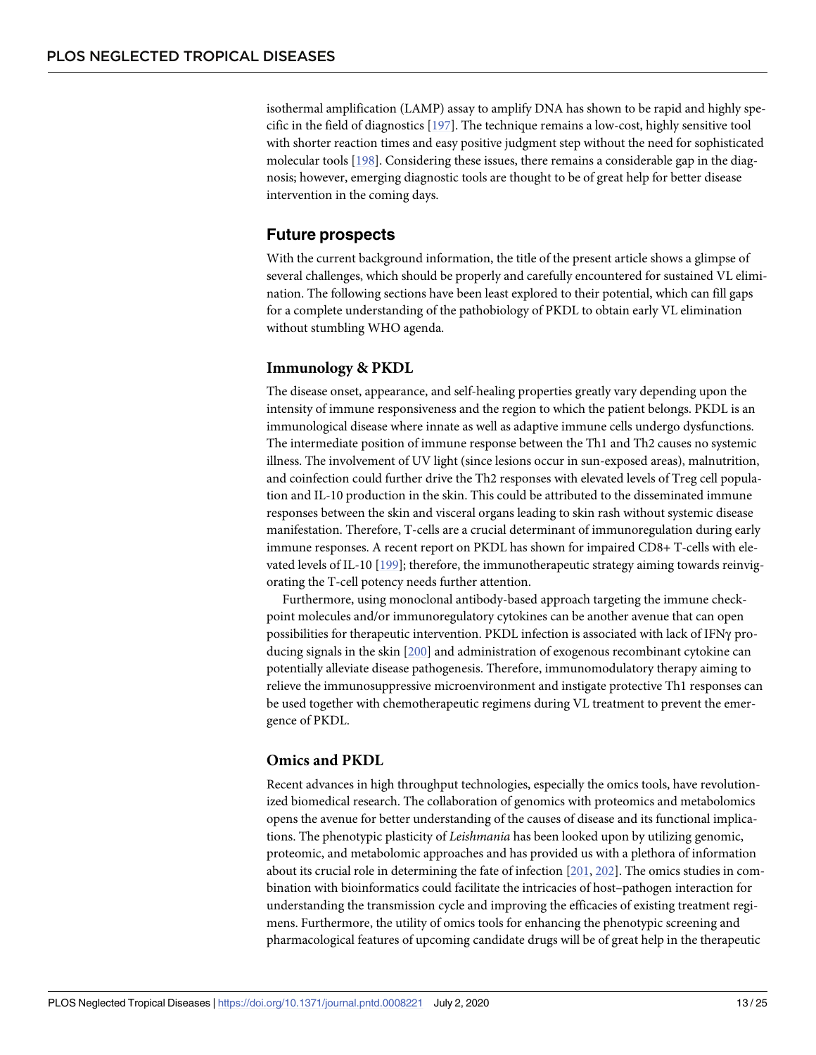<span id="page-12-0"></span>isothermal amplification (LAMP) assay to amplify DNA has shown to be rapid and highly specific in the field of diagnostics [\[197](#page-24-0)]. The technique remains a low-cost, highly sensitive tool with shorter reaction times and easy positive judgment step without the need for sophisticated molecular tools [[198](#page-24-0)]. Considering these issues, there remains a considerable gap in the diagnosis; however, emerging diagnostic tools are thought to be of great help for better disease intervention in the coming days.

### **Future prospects**

With the current background information, the title of the present article shows a glimpse of several challenges, which should be properly and carefully encountered for sustained VL elimination. The following sections have been least explored to their potential, which can fill gaps for a complete understanding of the pathobiology of PKDL to obtain early VL elimination without stumbling WHO agenda.

#### **Immunology & PKDL**

The disease onset, appearance, and self-healing properties greatly vary depending upon the intensity of immune responsiveness and the region to which the patient belongs. PKDL is an immunological disease where innate as well as adaptive immune cells undergo dysfunctions. The intermediate position of immune response between the Th1 and Th2 causes no systemic illness. The involvement of UV light (since lesions occur in sun-exposed areas), malnutrition, and coinfection could further drive the Th2 responses with elevated levels of Treg cell population and IL-10 production in the skin. This could be attributed to the disseminated immune responses between the skin and visceral organs leading to skin rash without systemic disease manifestation. Therefore, T-cells are a crucial determinant of immunoregulation during early immune responses. A recent report on PKDL has shown for impaired CD8+ T-cells with elevated levels of IL-10 [[199](#page-24-0)]; therefore, the immunotherapeutic strategy aiming towards reinvigorating the T-cell potency needs further attention.

Furthermore, using monoclonal antibody-based approach targeting the immune checkpoint molecules and/or immunoregulatory cytokines can be another avenue that can open possibilities for therapeutic intervention. PKDL infection is associated with lack of IFNγ producing signals in the skin [\[200](#page-24-0)] and administration of exogenous recombinant cytokine can potentially alleviate disease pathogenesis. Therefore, immunomodulatory therapy aiming to relieve the immunosuppressive microenvironment and instigate protective Th1 responses can be used together with chemotherapeutic regimens during VL treatment to prevent the emergence of PKDL.

#### **Omics and PKDL**

Recent advances in high throughput technologies, especially the omics tools, have revolutionized biomedical research. The collaboration of genomics with proteomics and metabolomics opens the avenue for better understanding of the causes of disease and its functional implications. The phenotypic plasticity of *Leishmania* has been looked upon by utilizing genomic, proteomic, and metabolomic approaches and has provided us with a plethora of information about its crucial role in determining the fate of infection [\[201](#page-24-0), [202](#page-24-0)]. The omics studies in combination with bioinformatics could facilitate the intricacies of host–pathogen interaction for understanding the transmission cycle and improving the efficacies of existing treatment regimens. Furthermore, the utility of omics tools for enhancing the phenotypic screening and pharmacological features of upcoming candidate drugs will be of great help in the therapeutic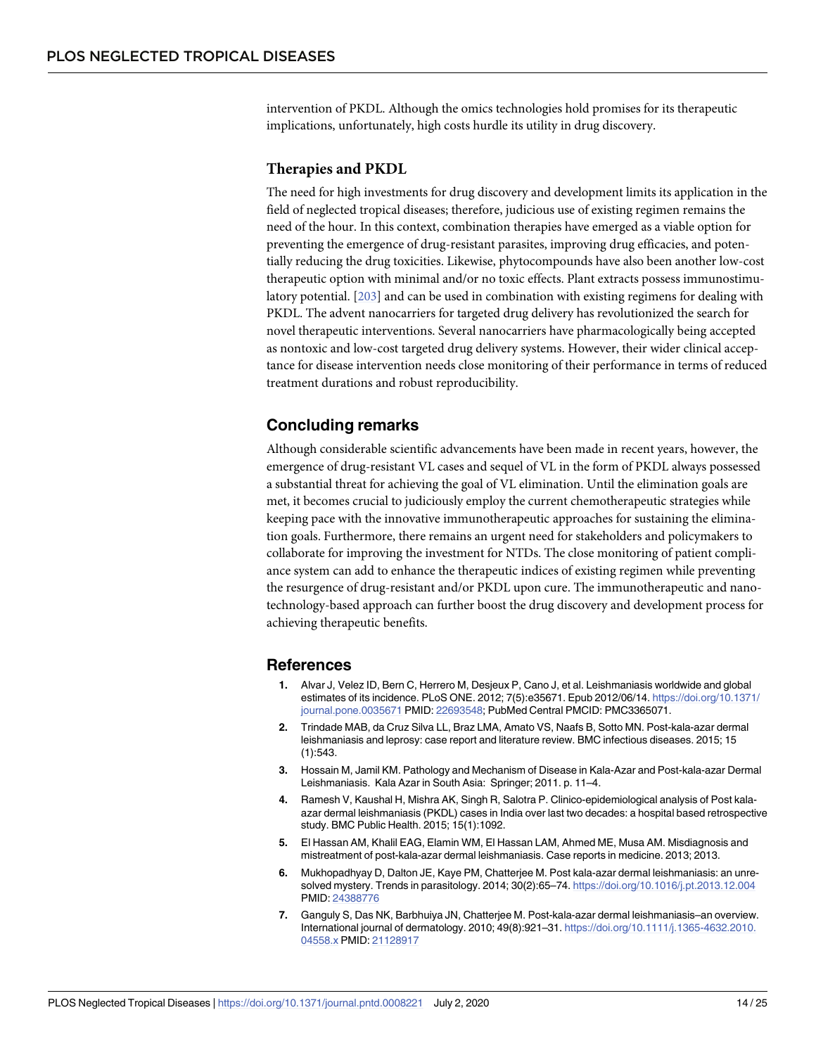<span id="page-13-0"></span>intervention of PKDL. Although the omics technologies hold promises for its therapeutic implications, unfortunately, high costs hurdle its utility in drug discovery.

#### **Therapies and PKDL**

The need for high investments for drug discovery and development limits its application in the field of neglected tropical diseases; therefore, judicious use of existing regimen remains the need of the hour. In this context, combination therapies have emerged as a viable option for preventing the emergence of drug-resistant parasites, improving drug efficacies, and potentially reducing the drug toxicities. Likewise, phytocompounds have also been another low-cost therapeutic option with minimal and/or no toxic effects. Plant extracts possess immunostimulatory potential. [[203\]](#page-24-0) and can be used in combination with existing regimens for dealing with PKDL. The advent nanocarriers for targeted drug delivery has revolutionized the search for novel therapeutic interventions. Several nanocarriers have pharmacologically being accepted as nontoxic and low-cost targeted drug delivery systems. However, their wider clinical acceptance for disease intervention needs close monitoring of their performance in terms of reduced treatment durations and robust reproducibility.

#### **Concluding remarks**

Although considerable scientific advancements have been made in recent years, however, the emergence of drug-resistant VL cases and sequel of VL in the form of PKDL always possessed a substantial threat for achieving the goal of VL elimination. Until the elimination goals are met, it becomes crucial to judiciously employ the current chemotherapeutic strategies while keeping pace with the innovative immunotherapeutic approaches for sustaining the elimination goals. Furthermore, there remains an urgent need for stakeholders and policymakers to collaborate for improving the investment for NTDs. The close monitoring of patient compliance system can add to enhance the therapeutic indices of existing regimen while preventing the resurgence of drug-resistant and/or PKDL upon cure. The immunotherapeutic and nanotechnology-based approach can further boost the drug discovery and development process for achieving therapeutic benefits.

#### **References**

- **[1.](#page-0-0)** Alvar J, Velez ID, Bern C, Herrero M, Desjeux P, Cano J, et al. Leishmaniasis worldwide and global estimates of its incidence. PLoS ONE. 2012; 7(5):e35671. Epub 2012/06/14. [https://doi.org/10.1371/](https://doi.org/10.1371/journal.pone.0035671) [journal.pone.0035671](https://doi.org/10.1371/journal.pone.0035671) PMID: [22693548](http://www.ncbi.nlm.nih.gov/pubmed/22693548); PubMed Central PMCID: PMC3365071.
- **[2.](#page-0-0)** Trindade MAB, da Cruz Silva LL, Braz LMA, Amato VS, Naafs B, Sotto MN. Post-kala-azar dermal leishmaniasis and leprosy: case report and literature review. BMC infectious diseases. 2015; 15 (1):543.
- **[3.](#page-0-0)** Hossain M, Jamil KM. Pathology and Mechanism of Disease in Kala-Azar and Post-kala-azar Dermal Leishmaniasis. Kala Azar in South Asia: Springer; 2011. p. 11–4.
- **[4.](#page-0-0)** Ramesh V, Kaushal H, Mishra AK, Singh R, Salotra P. Clinico-epidemiological analysis of Post kalaazar dermal leishmaniasis (PKDL) cases in India over last two decades: a hospital based retrospective study. BMC Public Health. 2015; 15(1):1092.
- **[5.](#page-1-0)** El Hassan AM, Khalil EAG, Elamin WM, El Hassan LAM, Ahmed ME, Musa AM. Misdiagnosis and mistreatment of post-kala-azar dermal leishmaniasis. Case reports in medicine. 2013; 2013.
- **[6.](#page-1-0)** Mukhopadhyay D, Dalton JE, Kaye PM, Chatterjee M. Post kala-azar dermal leishmaniasis: an unresolved mystery. Trends in parasitology. 2014; 30(2):65–74. <https://doi.org/10.1016/j.pt.2013.12.004> PMID: [24388776](http://www.ncbi.nlm.nih.gov/pubmed/24388776)
- **[7.](#page-1-0)** Ganguly S, Das NK, Barbhuiya JN, Chatterjee M. Post-kala-azar dermal leishmaniasis–an overview. International journal of dermatology. 2010; 49(8):921–31. [https://doi.org/10.1111/j.1365-4632.2010.](https://doi.org/10.1111/j.1365-4632.2010.04558.x) [04558.x](https://doi.org/10.1111/j.1365-4632.2010.04558.x) PMID: [21128917](http://www.ncbi.nlm.nih.gov/pubmed/21128917)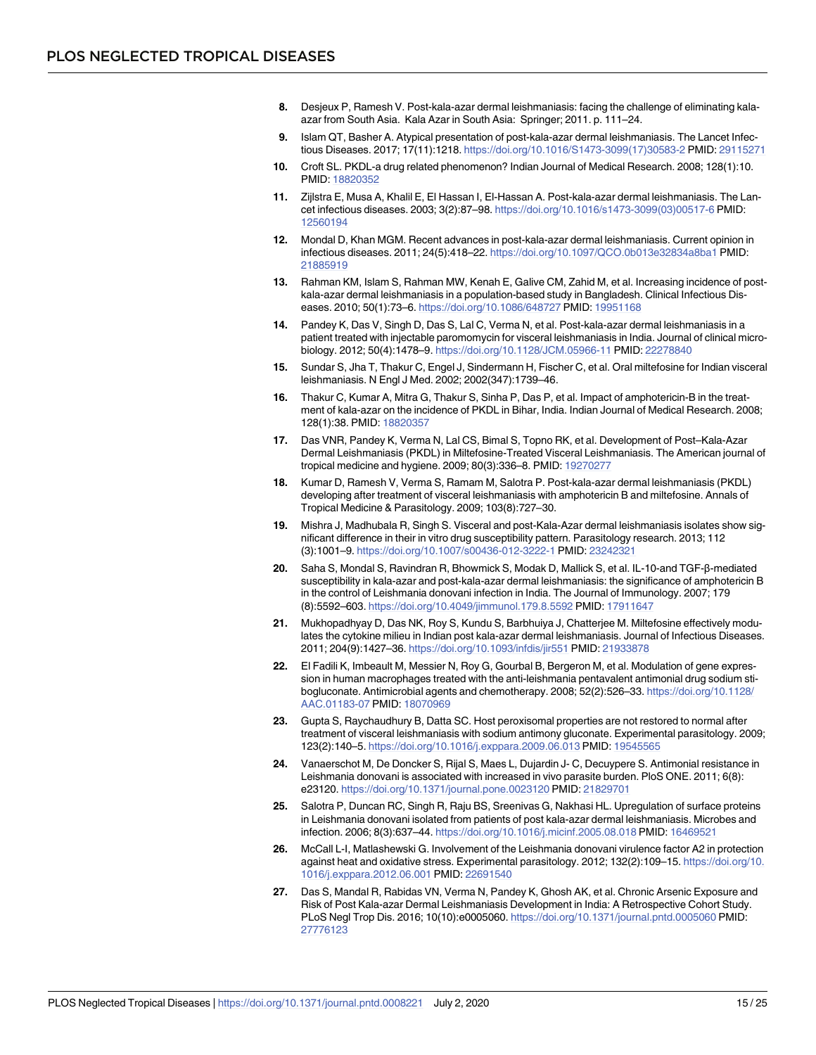- <span id="page-14-0"></span>**[8.](#page-1-0)** Desjeux P, Ramesh V. Post-kala-azar dermal leishmaniasis: facing the challenge of eliminating kalaazar from South Asia. Kala Azar in South Asia: Springer; 2011. p. 111–24.
- **[9.](#page-1-0)** Islam QT, Basher A. Atypical presentation of post-kala-azar dermal leishmaniasis. The Lancet Infectious Diseases. 2017; 17(11):1218. [https://doi.org/10.1016/S1473-3099\(17\)30583-2](https://doi.org/10.1016/S1473-3099(17)30583-2) PMID: [29115271](http://www.ncbi.nlm.nih.gov/pubmed/29115271)
- **[10.](#page-1-0)** Croft SL. PKDL-a drug related phenomenon? Indian Journal of Medical Research. 2008; 128(1):10. PMID: [18820352](http://www.ncbi.nlm.nih.gov/pubmed/18820352)
- **[11.](#page-1-0)** Zijlstra E, Musa A, Khalil E, El Hassan I, El-Hassan A. Post-kala-azar dermal leishmaniasis. The Lancet infectious diseases. 2003; 3(2):87–98. [https://doi.org/10.1016/s1473-3099\(03\)00517-6](https://doi.org/10.1016/s1473-3099(03)00517-6) PMID: [12560194](http://www.ncbi.nlm.nih.gov/pubmed/12560194)
- **12.** Mondal D, Khan MGM. Recent advances in post-kala-azar dermal leishmaniasis. Current opinion in infectious diseases. 2011; 24(5):418–22. <https://doi.org/10.1097/QCO.0b013e32834a8ba1> PMID: [21885919](http://www.ncbi.nlm.nih.gov/pubmed/21885919)
- **[13.](#page-1-0)** Rahman KM, Islam S, Rahman MW, Kenah E, Galive CM, Zahid M, et al. Increasing incidence of postkala-azar dermal leishmaniasis in a population-based study in Bangladesh. Clinical Infectious Diseases. 2010; 50(1):73–6. <https://doi.org/10.1086/648727> PMID: [19951168](http://www.ncbi.nlm.nih.gov/pubmed/19951168)
- **[14.](#page-1-0)** Pandey K, Das V, Singh D, Das S, Lal C, Verma N, et al. Post-kala-azar dermal leishmaniasis in a patient treated with injectable paromomycin for visceral leishmaniasis in India. Journal of clinical microbiology. 2012; 50(4):1478–9. <https://doi.org/10.1128/JCM.05966-11> PMID: [22278840](http://www.ncbi.nlm.nih.gov/pubmed/22278840)
- **[15.](#page-1-0)** Sundar S, Jha T, Thakur C, Engel J, Sindermann H, Fischer C, et al. Oral miltefosine for Indian visceral leishmaniasis. N Engl J Med. 2002; 2002(347):1739–46.
- **[16.](#page-1-0)** Thakur C, Kumar A, Mitra G, Thakur S, Sinha P, Das P, et al. Impact of amphotericin-B in the treatment of kala-azar on the incidence of PKDL in Bihar, India. Indian Journal of Medical Research. 2008; 128(1):38. PMID: [18820357](http://www.ncbi.nlm.nih.gov/pubmed/18820357)
- **[17.](#page-1-0)** Das VNR, Pandey K, Verma N, Lal CS, Bimal S, Topno RK, et al. Development of Post–Kala-Azar Dermal Leishmaniasis (PKDL) in Miltefosine-Treated Visceral Leishmaniasis. The American journal of tropical medicine and hygiene. 2009; 80(3):336–8. PMID: [19270277](http://www.ncbi.nlm.nih.gov/pubmed/19270277)
- **[18.](#page-1-0)** Kumar D, Ramesh V, Verma S, Ramam M, Salotra P. Post-kala-azar dermal leishmaniasis (PKDL) developing after treatment of visceral leishmaniasis with amphotericin B and miltefosine. Annals of Tropical Medicine & Parasitology. 2009; 103(8):727–30.
- **[19.](#page-1-0)** Mishra J, Madhubala R, Singh S. Visceral and post-Kala-Azar dermal leishmaniasis isolates show significant difference in their in vitro drug susceptibility pattern. Parasitology research. 2013; 112 (3):1001–9. <https://doi.org/10.1007/s00436-012-3222-1> PMID: [23242321](http://www.ncbi.nlm.nih.gov/pubmed/23242321)
- **[20.](#page-1-0)** Saha S, Mondal S, Ravindran R, Bhowmick S, Modak D, Mallick S, et al. IL-10-and TGF-β-mediated susceptibility in kala-azar and post-kala-azar dermal leishmaniasis: the significance of amphotericin B in the control of Leishmania donovani infection in India. The Journal of Immunology. 2007; 179 (8):5592–603. <https://doi.org/10.4049/jimmunol.179.8.5592> PMID: [17911647](http://www.ncbi.nlm.nih.gov/pubmed/17911647)
- **[21.](#page-3-0)** Mukhopadhyay D, Das NK, Roy S, Kundu S, Barbhuiya J, Chatterjee M. Miltefosine effectively modulates the cytokine milieu in Indian post kala-azar dermal leishmaniasis. Journal of Infectious Diseases. 2011; 204(9):1427–36. <https://doi.org/10.1093/infdis/jir551> PMID: [21933878](http://www.ncbi.nlm.nih.gov/pubmed/21933878)
- **[22.](#page-1-0)** El Fadili K, Imbeault M, Messier N, Roy G, Gourbal B, Bergeron M, et al. Modulation of gene expression in human macrophages treated with the anti-leishmania pentavalent antimonial drug sodium stibogluconate. Antimicrobial agents and chemotherapy. 2008; 52(2):526–33. [https://doi.org/10.1128/](https://doi.org/10.1128/AAC.01183-07) [AAC.01183-07](https://doi.org/10.1128/AAC.01183-07) PMID: [18070969](http://www.ncbi.nlm.nih.gov/pubmed/18070969)
- **[23.](#page-1-0)** Gupta S, Raychaudhury B, Datta SC. Host peroxisomal properties are not restored to normal after treatment of visceral leishmaniasis with sodium antimony gluconate. Experimental parasitology. 2009; 123(2):140–5. <https://doi.org/10.1016/j.exppara.2009.06.013> PMID: [19545565](http://www.ncbi.nlm.nih.gov/pubmed/19545565)
- **[24.](#page-1-0)** Vanaerschot M, De Doncker S, Rijal S, Maes L, Dujardin J- C, Decuypere S. Antimonial resistance in Leishmania donovani is associated with increased in vivo parasite burden. PloS ONE. 2011; 6(8): e23120. <https://doi.org/10.1371/journal.pone.0023120> PMID: [21829701](http://www.ncbi.nlm.nih.gov/pubmed/21829701)
- **[25.](#page-2-0)** Salotra P, Duncan RC, Singh R, Raju BS, Sreenivas G, Nakhasi HL. Upregulation of surface proteins in Leishmania donovani isolated from patients of post kala-azar dermal leishmaniasis. Microbes and infection. 2006; 8(3):637–44. <https://doi.org/10.1016/j.micinf.2005.08.018> PMID: [16469521](http://www.ncbi.nlm.nih.gov/pubmed/16469521)
- **[26.](#page-2-0)** McCall L-I, Matlashewski G. Involvement of the Leishmania donovani virulence factor A2 in protection against heat and oxidative stress. Experimental parasitology. 2012; 132(2):109–15. [https://doi.org/10.](https://doi.org/10.1016/j.exppara.2012.06.001) [1016/j.exppara.2012.06.001](https://doi.org/10.1016/j.exppara.2012.06.001) PMID: [22691540](http://www.ncbi.nlm.nih.gov/pubmed/22691540)
- **[27.](#page-2-0)** Das S, Mandal R, Rabidas VN, Verma N, Pandey K, Ghosh AK, et al. Chronic Arsenic Exposure and Risk of Post Kala-azar Dermal Leishmaniasis Development in India: A Retrospective Cohort Study. PLoS Negl Trop Dis. 2016; 10(10):e0005060. <https://doi.org/10.1371/journal.pntd.0005060> PMID: [27776123](http://www.ncbi.nlm.nih.gov/pubmed/27776123)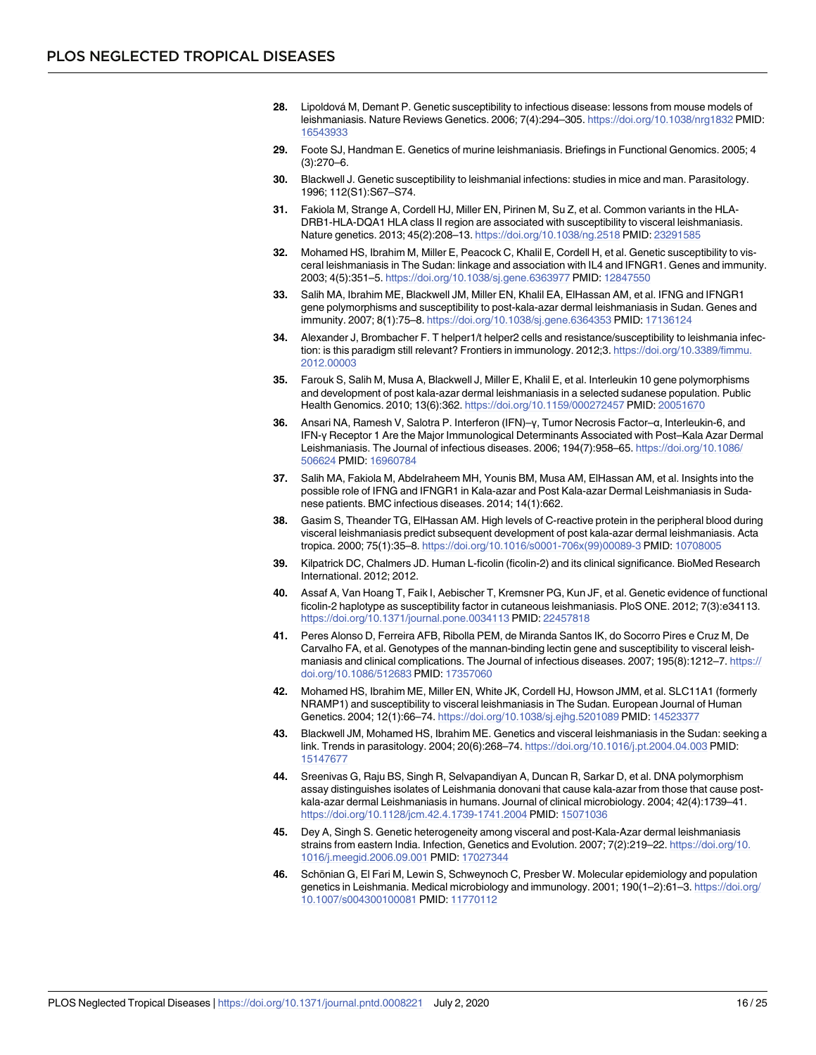- <span id="page-15-0"></span>[28.](#page-2-0) Lipoldová M, Demant P. Genetic susceptibility to infectious disease: lessons from mouse models of leishmaniasis. Nature Reviews Genetics. 2006; 7(4):294–305. <https://doi.org/10.1038/nrg1832> PMID: [16543933](http://www.ncbi.nlm.nih.gov/pubmed/16543933)
- **29.** Foote SJ, Handman E. Genetics of murine leishmaniasis. Briefings in Functional Genomics. 2005; 4 (3):270–6.
- **30.** Blackwell J. Genetic susceptibility to leishmanial infections: studies in mice and man. Parasitology. 1996; 112(S1):S67–S74.
- **[31.](#page-2-0)** Fakiola M, Strange A, Cordell HJ, Miller EN, Pirinen M, Su Z, et al. Common variants in the HLA-DRB1-HLA-DQA1 HLA class II region are associated with susceptibility to visceral leishmaniasis. Nature genetics. 2013; 45(2):208–13. <https://doi.org/10.1038/ng.2518> PMID: [23291585](http://www.ncbi.nlm.nih.gov/pubmed/23291585)
- **[32.](#page-2-0)** Mohamed HS, Ibrahim M, Miller E, Peacock C, Khalil E, Cordell H, et al. Genetic susceptibility to visceral leishmaniasis in The Sudan: linkage and association with IL4 and IFNGR1. Genes and immunity. 2003; 4(5):351–5. <https://doi.org/10.1038/sj.gene.6363977> PMID: [12847550](http://www.ncbi.nlm.nih.gov/pubmed/12847550)
- **[33.](#page-2-0)** Salih MA, Ibrahim ME, Blackwell JM, Miller EN, Khalil EA, ElHassan AM, et al. IFNG and IFNGR1 gene polymorphisms and susceptibility to post-kala-azar dermal leishmaniasis in Sudan. Genes and immunity. 2007; 8(1):75–8. <https://doi.org/10.1038/sj.gene.6364353> PMID: [17136124](http://www.ncbi.nlm.nih.gov/pubmed/17136124)
- **[34.](#page-2-0)** Alexander J, Brombacher F. T helper1/t helper2 cells and resistance/susceptibility to leishmania infection: is this paradigm still relevant? Frontiers in immunology. 2012;3. [https://doi.org/10.3389/fimmu.](https://doi.org/10.3389/fimmu.2012.00003) [2012.00003](https://doi.org/10.3389/fimmu.2012.00003)
- **[35.](#page-2-0)** Farouk S, Salih M, Musa A, Blackwell J, Miller E, Khalil E, et al. Interleukin 10 gene polymorphisms and development of post kala-azar dermal leishmaniasis in a selected sudanese population. Public Health Genomics. 2010; 13(6):362. <https://doi.org/10.1159/000272457> PMID: [20051670](http://www.ncbi.nlm.nih.gov/pubmed/20051670)
- **[36.](#page-2-0)** Ansari NA, Ramesh V, Salotra P. Interferon (IFN)–γ, Tumor Necrosis Factor–α, Interleukin-6, and IFN-γ Receptor 1 Are the Major Immunological Determinants Associated with Post–Kala Azar Dermal Leishmaniasis. The Journal of infectious diseases. 2006; 194(7):958–65. [https://doi.org/10.1086/](https://doi.org/10.1086/506624) [506624](https://doi.org/10.1086/506624) PMID: [16960784](http://www.ncbi.nlm.nih.gov/pubmed/16960784)
- **[37.](#page-2-0)** Salih MA, Fakiola M, Abdelraheem MH, Younis BM, Musa AM, ElHassan AM, et al. Insights into the possible role of IFNG and IFNGR1 in Kala-azar and Post Kala-azar Dermal Leishmaniasis in Sudanese patients. BMC infectious diseases. 2014; 14(1):662.
- **[38.](#page-2-0)** Gasim S, Theander TG, ElHassan AM. High levels of C-reactive protein in the peripheral blood during visceral leishmaniasis predict subsequent development of post kala-azar dermal leishmaniasis. Acta tropica. 2000; 75(1):35–8. [https://doi.org/10.1016/s0001-706x\(99\)00089-3](https://doi.org/10.1016/s0001-706x(99)00089-3) PMID: [10708005](http://www.ncbi.nlm.nih.gov/pubmed/10708005)
- **[39.](#page-2-0)** Kilpatrick DC, Chalmers JD. Human L-ficolin (ficolin-2) and its clinical significance. BioMed Research International. 2012; 2012.
- **40.** Assaf A, Van Hoang T, Faik I, Aebischer T, Kremsner PG, Kun JF, et al. Genetic evidence of functional ficolin-2 haplotype as susceptibility factor in cutaneous leishmaniasis. PloS ONE. 2012; 7(3):e34113. <https://doi.org/10.1371/journal.pone.0034113> PMID: [22457818](http://www.ncbi.nlm.nih.gov/pubmed/22457818)
- **41.** Peres Alonso D, Ferreira AFB, Ribolla PEM, de Miranda Santos IK, do Socorro Pires e Cruz M, De Carvalho FA, et al. Genotypes of the mannan-binding lectin gene and susceptibility to visceral leishmaniasis and clinical complications. The Journal of infectious diseases. 2007; 195(8):1212–7. [https://](https://doi.org/10.1086/512683) [doi.org/10.1086/512683](https://doi.org/10.1086/512683) PMID: [17357060](http://www.ncbi.nlm.nih.gov/pubmed/17357060)
- **42.** Mohamed HS, Ibrahim ME, Miller EN, White JK, Cordell HJ, Howson JMM, et al. SLC11A1 (formerly NRAMP1) and susceptibility to visceral leishmaniasis in The Sudan. European Journal of Human Genetics. 2004; 12(1):66–74. <https://doi.org/10.1038/sj.ejhg.5201089> PMID: [14523377](http://www.ncbi.nlm.nih.gov/pubmed/14523377)
- **[43.](#page-2-0)** Blackwell JM, Mohamed HS, Ibrahim ME. Genetics and visceral leishmaniasis in the Sudan: seeking a link. Trends in parasitology. 2004; 20(6):268–74. <https://doi.org/10.1016/j.pt.2004.04.003> PMID: [15147677](http://www.ncbi.nlm.nih.gov/pubmed/15147677)
- **[44.](#page-2-0)** Sreenivas G, Raju BS, Singh R, Selvapandiyan A, Duncan R, Sarkar D, et al. DNA polymorphism assay distinguishes isolates of Leishmania donovani that cause kala-azar from those that cause postkala-azar dermal Leishmaniasis in humans. Journal of clinical microbiology. 2004; 42(4):1739–41. <https://doi.org/10.1128/jcm.42.4.1739-1741.2004> PMID: [15071036](http://www.ncbi.nlm.nih.gov/pubmed/15071036)
- **[45.](#page-2-0)** Dey A, Singh S. Genetic heterogeneity among visceral and post-Kala-Azar dermal leishmaniasis strains from eastern India. Infection, Genetics and Evolution. 2007; 7(2):219–22. [https://doi.org/10.](https://doi.org/10.1016/j.meegid.2006.09.001) [1016/j.meegid.2006.09.001](https://doi.org/10.1016/j.meegid.2006.09.001) PMID: [17027344](http://www.ncbi.nlm.nih.gov/pubmed/17027344)
- **[46.](#page-2-0)** Schönian G, El Fari M, Lewin S, Schweynoch C, Presber W. Molecular epidemiology and population genetics in Leishmania. Medical microbiology and immunology. 2001; 190(1–2):61–3. [https://doi.org/](https://doi.org/10.1007/s004300100081) [10.1007/s004300100081](https://doi.org/10.1007/s004300100081) PMID: [11770112](http://www.ncbi.nlm.nih.gov/pubmed/11770112)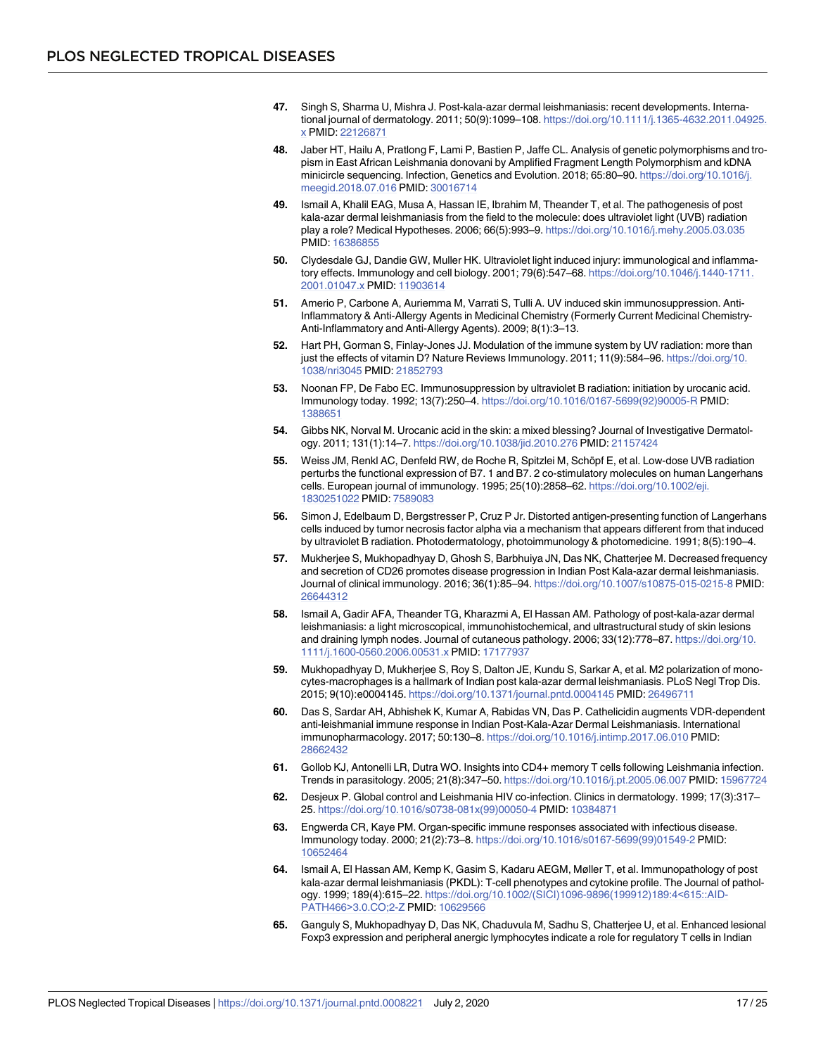- <span id="page-16-0"></span>**[47.](#page-2-0)** Singh S, Sharma U, Mishra J. Post-kala-azar dermal leishmaniasis: recent developments. International journal of dermatology. 2011; 50(9):1099–108. [https://doi.org/10.1111/j.1365-4632.2011.04925.](https://doi.org/10.1111/j.1365-4632.2011.04925.x) [x](https://doi.org/10.1111/j.1365-4632.2011.04925.x) PMID: [22126871](http://www.ncbi.nlm.nih.gov/pubmed/22126871)
- **[48.](#page-2-0)** Jaber HT, Hailu A, Pratlong F, Lami P, Bastien P, Jaffe CL. Analysis of genetic polymorphisms and tropism in East African Leishmania donovani by Amplified Fragment Length Polymorphism and kDNA minicircle sequencing. Infection, Genetics and Evolution. 2018; 65:80–90. [https://doi.org/10.1016/j.](https://doi.org/10.1016/j.meegid.2018.07.016) [meegid.2018.07.016](https://doi.org/10.1016/j.meegid.2018.07.016) PMID: [30016714](http://www.ncbi.nlm.nih.gov/pubmed/30016714)
- **[49.](#page-3-0)** Ismail A, Khalil EAG, Musa A, Hassan IE, Ibrahim M, Theander T, et al. The pathogenesis of post kala-azar dermal leishmaniasis from the field to the molecule: does ultraviolet light (UVB) radiation play a role? Medical Hypotheses. 2006; 66(5):993–9. <https://doi.org/10.1016/j.mehy.2005.03.035> PMID: [16386855](http://www.ncbi.nlm.nih.gov/pubmed/16386855)
- **[50.](#page-3-0)** Clydesdale GJ, Dandie GW, Muller HK. Ultraviolet light induced injury: immunological and inflammatory effects. Immunology and cell biology. 2001; 79(6):547–68. [https://doi.org/10.1046/j.1440-1711.](https://doi.org/10.1046/j.1440-1711.2001.01047.x) [2001.01047.x](https://doi.org/10.1046/j.1440-1711.2001.01047.x) PMID: [11903614](http://www.ncbi.nlm.nih.gov/pubmed/11903614)
- **[51.](#page-3-0)** Amerio P, Carbone A, Auriemma M, Varrati S, Tulli A. UV induced skin immunosuppression. Anti-Inflammatory & Anti-Allergy Agents in Medicinal Chemistry (Formerly Current Medicinal Chemistry-Anti-Inflammatory and Anti-Allergy Agents). 2009; 8(1):3–13.
- **[52.](#page-3-0)** Hart PH, Gorman S, Finlay-Jones JJ. Modulation of the immune system by UV radiation: more than just the effects of vitamin D? Nature Reviews Immunology. 2011; 11(9):584-96. [https://doi.org/10.](https://doi.org/10.1038/nri3045) [1038/nri3045](https://doi.org/10.1038/nri3045) PMID: [21852793](http://www.ncbi.nlm.nih.gov/pubmed/21852793)
- **[53.](#page-3-0)** Noonan FP, De Fabo EC. Immunosuppression by ultraviolet B radiation: initiation by urocanic acid. Immunology today. 1992; 13(7):250–4. [https://doi.org/10.1016/0167-5699\(92\)90005-R](https://doi.org/10.1016/0167-5699(92)90005-R) PMID: [1388651](http://www.ncbi.nlm.nih.gov/pubmed/1388651)
- **54.** Gibbs NK, Norval M. Urocanic acid in the skin: a mixed blessing? Journal of Investigative Dermatology. 2011; 131(1):14–7. <https://doi.org/10.1038/jid.2010.276> PMID: [21157424](http://www.ncbi.nlm.nih.gov/pubmed/21157424)
- **55.** Weiss JM, Renkl AC, Denfeld RW, de Roche R, Spitzlei M, Schöpf E, et al. Low-dose UVB radiation perturbs the functional expression of B7. 1 and B7. 2 co-stimulatory molecules on human Langerhans cells. European journal of immunology. 1995; 25(10):2858–62. [https://doi.org/10.1002/eji.](https://doi.org/10.1002/eji.1830251022) [1830251022](https://doi.org/10.1002/eji.1830251022) PMID: [7589083](http://www.ncbi.nlm.nih.gov/pubmed/7589083)
- **[56.](#page-3-0)** Simon J, Edelbaum D, Bergstresser P, Cruz P Jr. Distorted antigen-presenting function of Langerhans cells induced by tumor necrosis factor alpha via a mechanism that appears different from that induced by ultraviolet B radiation. Photodermatology, photoimmunology & photomedicine. 1991; 8(5):190–4.
- **[57.](#page-3-0)** Mukherjee S, Mukhopadhyay D, Ghosh S, Barbhuiya JN, Das NK, Chatterjee M. Decreased frequency and secretion of CD26 promotes disease progression in Indian Post Kala-azar dermal leishmaniasis. Journal of clinical immunology. 2016; 36(1):85–94. <https://doi.org/10.1007/s10875-015-0215-8> PMID: [26644312](http://www.ncbi.nlm.nih.gov/pubmed/26644312)
- **[58.](#page-3-0)** Ismail A, Gadir AFA, Theander TG, Kharazmi A, El Hassan AM. Pathology of post-kala-azar dermal leishmaniasis: a light microscopical, immunohistochemical, and ultrastructural study of skin lesions and draining lymph nodes. Journal of cutaneous pathology. 2006; 33(12):778–87. [https://doi.org/10.](https://doi.org/10.1111/j.1600-0560.2006.00531.x) [1111/j.1600-0560.2006.00531.x](https://doi.org/10.1111/j.1600-0560.2006.00531.x) PMID: [17177937](http://www.ncbi.nlm.nih.gov/pubmed/17177937)
- **[59.](#page-3-0)** Mukhopadhyay D, Mukherjee S, Roy S, Dalton JE, Kundu S, Sarkar A, et al. M2 polarization of monocytes-macrophages is a hallmark of Indian post kala-azar dermal leishmaniasis. PLoS Negl Trop Dis. 2015; 9(10):e0004145. <https://doi.org/10.1371/journal.pntd.0004145> PMID: [26496711](http://www.ncbi.nlm.nih.gov/pubmed/26496711)
- **[60.](#page-3-0)** Das S, Sardar AH, Abhishek K, Kumar A, Rabidas VN, Das P. Cathelicidin augments VDR-dependent anti-leishmanial immune response in Indian Post-Kala-Azar Dermal Leishmaniasis. International immunopharmacology. 2017; 50:130–8. <https://doi.org/10.1016/j.intimp.2017.06.010> PMID: [28662432](http://www.ncbi.nlm.nih.gov/pubmed/28662432)
- **[61.](#page-3-0)** Gollob KJ, Antonelli LR, Dutra WO. Insights into CD4+ memory T cells following Leishmania infection. Trends in parasitology. 2005; 21(8):347–50. <https://doi.org/10.1016/j.pt.2005.06.007> PMID: [15967724](http://www.ncbi.nlm.nih.gov/pubmed/15967724)
- **[62.](#page-3-0)** Desjeux P. Global control and Leishmania HIV co-infection. Clinics in dermatology. 1999; 17(3):317– 25. [https://doi.org/10.1016/s0738-081x\(99\)00050-4](https://doi.org/10.1016/s0738-081x(99)00050-4) PMID: [10384871](http://www.ncbi.nlm.nih.gov/pubmed/10384871)
- **[63.](#page-3-0)** Engwerda CR, Kaye PM. Organ-specific immune responses associated with infectious disease. Immunology today. 2000; 21(2):73–8. [https://doi.org/10.1016/s0167-5699\(99\)01549-2](https://doi.org/10.1016/s0167-5699(99)01549-2) PMID: [10652464](http://www.ncbi.nlm.nih.gov/pubmed/10652464)
- **[64.](#page-3-0)** Ismail A, El Hassan AM, Kemp K, Gasim S, Kadaru AEGM, Møller T, et al. Immunopathology of post kala-azar dermal leishmaniasis (PKDL): T-cell phenotypes and cytokine profile. The Journal of pathology. 1999; 189(4):615–22. [https://doi.org/10.1002/\(SICI\)1096-9896\(199912\)189:4](https://doi.org/10.1002/(SICI)1096-9896(199912)189:4<615::AID-PATH466>3.0.CO;2-Z)<615::AID-PATH466>[3.0.CO;2-Z](https://doi.org/10.1002/(SICI)1096-9896(199912)189:4<615::AID-PATH466>3.0.CO;2-Z) PMID: [10629566](http://www.ncbi.nlm.nih.gov/pubmed/10629566)
- **[65.](#page-3-0)** Ganguly S, Mukhopadhyay D, Das NK, Chaduvula M, Sadhu S, Chatterjee U, et al. Enhanced lesional Foxp3 expression and peripheral anergic lymphocytes indicate a role for regulatory T cells in Indian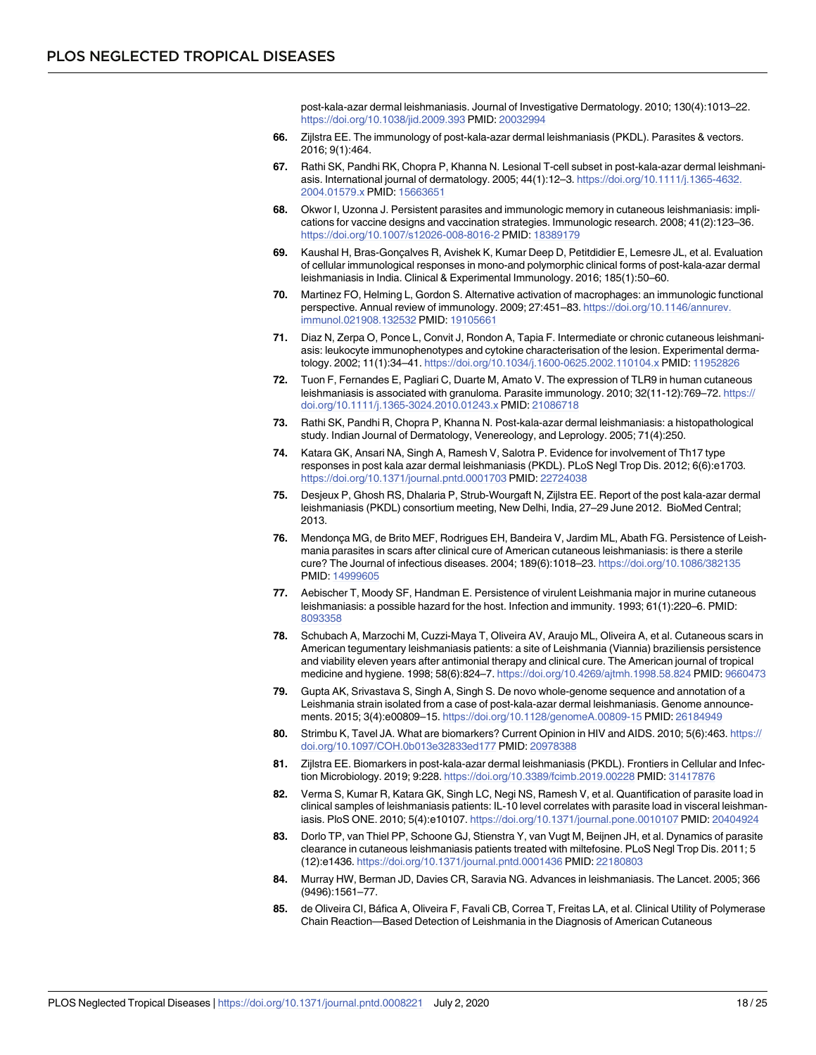post-kala-azar dermal leishmaniasis. Journal of Investigative Dermatology. 2010; 130(4):1013–22. <https://doi.org/10.1038/jid.2009.393> PMID: [20032994](http://www.ncbi.nlm.nih.gov/pubmed/20032994)

- <span id="page-17-0"></span>**[66.](#page-3-0)** Zijlstra EE. The immunology of post-kala-azar dermal leishmaniasis (PKDL). Parasites & vectors. 2016; 9(1):464.
- **[67.](#page-4-0)** Rathi SK, Pandhi RK, Chopra P, Khanna N. Lesional T-cell subset in post-kala-azar dermal leishmaniasis. International journal of dermatology. 2005; 44(1):12–3. [https://doi.org/10.1111/j.1365-4632.](https://doi.org/10.1111/j.1365-4632.2004.01579.x) [2004.01579.x](https://doi.org/10.1111/j.1365-4632.2004.01579.x) PMID: [15663651](http://www.ncbi.nlm.nih.gov/pubmed/15663651)
- **[68.](#page-4-0)** Okwor I, Uzonna J. Persistent parasites and immunologic memory in cutaneous leishmaniasis: implications for vaccine designs and vaccination strategies. Immunologic research. 2008; 41(2):123–36. <https://doi.org/10.1007/s12026-008-8016-2> PMID: [18389179](http://www.ncbi.nlm.nih.gov/pubmed/18389179)
- **[69.](#page-4-0)** Kaushal H, Bras-Goncalves R, Avishek K, Kumar Deep D, Petitdidier E, Lemesre JL, et al. Evaluation of cellular immunological responses in mono-and polymorphic clinical forms of post-kala-azar dermal leishmaniasis in India. Clinical & Experimental Immunology. 2016; 185(1):50–60.
- **[70.](#page-4-0)** Martinez FO, Helming L, Gordon S. Alternative activation of macrophages: an immunologic functional perspective. Annual review of immunology. 2009; 27:451–83. [https://doi.org/10.1146/annurev.](https://doi.org/10.1146/annurev.immunol.021908.132532) [immunol.021908.132532](https://doi.org/10.1146/annurev.immunol.021908.132532) PMID: [19105661](http://www.ncbi.nlm.nih.gov/pubmed/19105661)
- **[71.](#page-4-0)** Diaz N, Zerpa O, Ponce L, Convit J, Rondon A, Tapia F. Intermediate or chronic cutaneous leishmaniasis: leukocyte immunophenotypes and cytokine characterisation of the lesion. Experimental dermatology. 2002; 11(1):34–41. <https://doi.org/10.1034/j.1600-0625.2002.110104.x> PMID: [11952826](http://www.ncbi.nlm.nih.gov/pubmed/11952826)
- **[72.](#page-4-0)** Tuon F, Fernandes E, Pagliari C, Duarte M, Amato V. The expression of TLR9 in human cutaneous leishmaniasis is associated with granuloma. Parasite immunology. 2010; 32(11-12):769–72. [https://](https://doi.org/10.1111/j.1365-3024.2010.01243.x) [doi.org/10.1111/j.1365-3024.2010.01243.x](https://doi.org/10.1111/j.1365-3024.2010.01243.x) PMID: [21086718](http://www.ncbi.nlm.nih.gov/pubmed/21086718)
- **[73.](#page-4-0)** Rathi SK, Pandhi R, Chopra P, Khanna N. Post-kala-azar dermal leishmaniasis: a histopathological study. Indian Journal of Dermatology, Venereology, and Leprology. 2005; 71(4):250.
- **[74.](#page-4-0)** Katara GK, Ansari NA, Singh A, Ramesh V, Salotra P. Evidence for involvement of Th17 type responses in post kala azar dermal leishmaniasis (PKDL). PLoS Negl Trop Dis. 2012; 6(6):e1703. <https://doi.org/10.1371/journal.pntd.0001703> PMID: [22724038](http://www.ncbi.nlm.nih.gov/pubmed/22724038)
- **[75.](#page-4-0)** Desjeux P, Ghosh RS, Dhalaria P, Strub-Wourgaft N, Zijlstra EE. Report of the post kala-azar dermal leishmaniasis (PKDL) consortium meeting, New Delhi, India, 27–29 June 2012. BioMed Central; 2013.
- **[76.](#page-4-0)** Mendonca MG, de Brito MEF, Rodrigues EH, Bandeira V, Jardim ML, Abath FG. Persistence of Leishmania parasites in scars after clinical cure of American cutaneous leishmaniasis: is there a sterile cure? The Journal of infectious diseases. 2004; 189(6):1018–23. <https://doi.org/10.1086/382135> PMID: [14999605](http://www.ncbi.nlm.nih.gov/pubmed/14999605)
- **[77.](#page-4-0)** Aebischer T, Moody SF, Handman E. Persistence of virulent Leishmania major in murine cutaneous leishmaniasis: a possible hazard for the host. Infection and immunity. 1993; 61(1):220–6. PMID: [8093358](http://www.ncbi.nlm.nih.gov/pubmed/8093358)
- **[78.](#page-4-0)** Schubach A, Marzochi M, Cuzzi-Maya T, Oliveira AV, Araujo ML, Oliveira A, et al. Cutaneous scars in American tegumentary leishmaniasis patients: a site of Leishmania (Viannia) braziliensis persistence and viability eleven years after antimonial therapy and clinical cure. The American journal of tropical medicine and hygiene. 1998; 58(6):824–7. <https://doi.org/10.4269/ajtmh.1998.58.824> PMID: [9660473](http://www.ncbi.nlm.nih.gov/pubmed/9660473)
- **[79.](#page-4-0)** Gupta AK, Srivastava S, Singh A, Singh S. De novo whole-genome sequence and annotation of a Leishmania strain isolated from a case of post-kala-azar dermal leishmaniasis. Genome announcements. 2015; 3(4):e00809–15. <https://doi.org/10.1128/genomeA.00809-15> PMID: [26184949](http://www.ncbi.nlm.nih.gov/pubmed/26184949)
- **[80.](#page-4-0)** Strimbu K, Tavel JA. What are biomarkers? Current Opinion in HIV and AIDS. 2010; 5(6):463. [https://](https://doi.org/10.1097/COH.0b013e32833ed177) [doi.org/10.1097/COH.0b013e32833ed177](https://doi.org/10.1097/COH.0b013e32833ed177) PMID: [20978388](http://www.ncbi.nlm.nih.gov/pubmed/20978388)
- **[81.](#page-4-0)** Zijlstra EE. Biomarkers in post-kala-azar dermal leishmaniasis (PKDL). Frontiers in Cellular and Infection Microbiology. 2019; 9:228. <https://doi.org/10.3389/fcimb.2019.00228> PMID: [31417876](http://www.ncbi.nlm.nih.gov/pubmed/31417876)
- **[82.](#page-6-0)** Verma S, Kumar R, Katara GK, Singh LC, Negi NS, Ramesh V, et al. Quantification of parasite load in clinical samples of leishmaniasis patients: IL-10 level correlates with parasite load in visceral leishmaniasis. PloS ONE. 2010; 5(4):e10107. <https://doi.org/10.1371/journal.pone.0010107> PMID: [20404924](http://www.ncbi.nlm.nih.gov/pubmed/20404924)
- **83.** Dorlo TP, van Thiel PP, Schoone GJ, Stienstra Y, van Vugt M, Beijnen JH, et al. Dynamics of parasite clearance in cutaneous leishmaniasis patients treated with miltefosine. PLoS Negl Trop Dis. 2011; 5 (12):e1436. <https://doi.org/10.1371/journal.pntd.0001436> PMID: [22180803](http://www.ncbi.nlm.nih.gov/pubmed/22180803)
- **84.** Murray HW, Berman JD, Davies CR, Saravia NG. Advances in leishmaniasis. The Lancet. 2005; 366 (9496):1561–77.
- **85.** de Oliveira CI, Ba´fica A, Oliveira F, Favali CB, Correa T, Freitas LA, et al. Clinical Utility of Polymerase Chain Reaction—Based Detection of Leishmania in the Diagnosis of American Cutaneous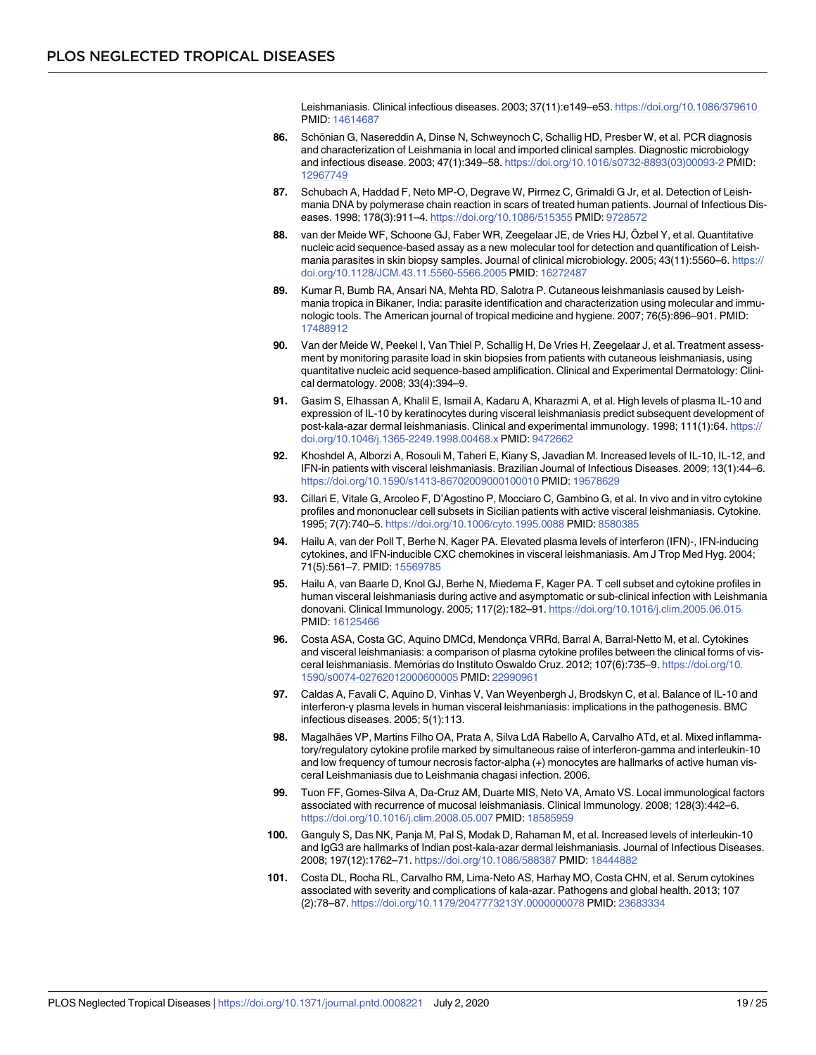Leishmaniasis. Clinical infectious diseases. 2003; 37(11):e149–e53. <https://doi.org/10.1086/379610> PMID: [14614687](http://www.ncbi.nlm.nih.gov/pubmed/14614687)

- <span id="page-18-0"></span>86. Schönian G, Nasereddin A, Dinse N, Schweynoch C, Schallig HD, Presber W, et al. PCR diagnosis and characterization of Leishmania in local and imported clinical samples. Diagnostic microbiology and infectious disease. 2003; 47(1):349–58. [https://doi.org/10.1016/s0732-8893\(03\)00093-2](https://doi.org/10.1016/s0732-8893(03)00093-2) PMID: [12967749](http://www.ncbi.nlm.nih.gov/pubmed/12967749)
- **87.** Schubach A, Haddad F, Neto MP-O, Degrave W, Pirmez C, Grimaldi G Jr, et al. Detection of Leishmania DNA by polymerase chain reaction in scars of treated human patients. Journal of Infectious Diseases. 1998; 178(3):911–4. <https://doi.org/10.1086/515355> PMID: [9728572](http://www.ncbi.nlm.nih.gov/pubmed/9728572)
- 88. van der Meide WF, Schoone GJ, Faber WR, Zeegelaar JE, de Vries HJ, Özbel Y, et al. Quantitative nucleic acid sequence-based assay as a new molecular tool for detection and quantification of Leishmania parasites in skin biopsy samples. Journal of clinical microbiology. 2005; 43(11):5560-6. [https://](https://doi.org/10.1128/JCM.43.11.5560-5566.2005) [doi.org/10.1128/JCM.43.11.5560-5566.2005](https://doi.org/10.1128/JCM.43.11.5560-5566.2005) PMID: [16272487](http://www.ncbi.nlm.nih.gov/pubmed/16272487)
- **89.** Kumar R, Bumb RA, Ansari NA, Mehta RD, Salotra P. Cutaneous leishmaniasis caused by Leishmania tropica in Bikaner, India: parasite identification and characterization using molecular and immunologic tools. The American journal of tropical medicine and hygiene. 2007; 76(5):896–901. PMID: [17488912](http://www.ncbi.nlm.nih.gov/pubmed/17488912)
- **[90.](#page-6-0)** Van der Meide W, Peekel I, Van Thiel P, Schallig H, De Vries H, Zeegelaar J, et al. Treatment assessment by monitoring parasite load in skin biopsies from patients with cutaneous leishmaniasis, using quantitative nucleic acid sequence-based amplification. Clinical and Experimental Dermatology: Clinical dermatology. 2008; 33(4):394–9.
- **[91.](#page-6-0)** Gasim S, Elhassan A, Khalil E, Ismail A, Kadaru A, Kharazmi A, et al. High levels of plasma IL-10 and expression of IL-10 by keratinocytes during visceral leishmaniasis predict subsequent development of post-kala-azar dermal leishmaniasis. Clinical and experimental immunology. 1998; 111(1):64. [https://](https://doi.org/10.1046/j.1365-2249.1998.00468.x) [doi.org/10.1046/j.1365-2249.1998.00468.x](https://doi.org/10.1046/j.1365-2249.1998.00468.x) PMID: [9472662](http://www.ncbi.nlm.nih.gov/pubmed/9472662)
- **[92.](#page-6-0)** Khoshdel A, Alborzi A, Rosouli M, Taheri E, Kiany S, Javadian M. Increased levels of IL-10, IL-12, and IFN-in patients with visceral leishmaniasis. Brazilian Journal of Infectious Diseases. 2009; 13(1):44–6. <https://doi.org/10.1590/s1413-86702009000100010> PMID: [19578629](http://www.ncbi.nlm.nih.gov/pubmed/19578629)
- **93.** Cillari E, Vitale G, Arcoleo F, D'Agostino P, Mocciaro C, Gambino G, et al. In vivo and in vitro cytokine profiles and mononuclear cell subsets in Sicilian patients with active visceral leishmaniasis. Cytokine. 1995; 7(7):740–5. <https://doi.org/10.1006/cyto.1995.0088> PMID: [8580385](http://www.ncbi.nlm.nih.gov/pubmed/8580385)
- **94.** Hailu A, van der Poll T, Berhe N, Kager PA. Elevated plasma levels of interferon (IFN)-, IFN-inducing cytokines, and IFN-inducible CXC chemokines in visceral leishmaniasis. Am J Trop Med Hyg. 2004; 71(5):561–7. PMID: [15569785](http://www.ncbi.nlm.nih.gov/pubmed/15569785)
- **[95.](#page-6-0)** Hailu A, van Baarle D, Knol GJ, Berhe N, Miedema F, Kager PA. T cell subset and cytokine profiles in human visceral leishmaniasis during active and asymptomatic or sub-clinical infection with Leishmania donovani. Clinical Immunology. 2005; 117(2):182–91. <https://doi.org/10.1016/j.clim.2005.06.015> PMID: [16125466](http://www.ncbi.nlm.nih.gov/pubmed/16125466)
- 96. Costa ASA, Costa GC, Aquino DMCd, Mendonça VRRd, Barral A, Barral-Netto M, et al. Cytokines and visceral leishmaniasis: a comparison of plasma cytokine profiles between the clinical forms of visceral leishmaniasis. Memórias do Instituto Oswaldo Cruz. 2012; 107(6):735–9. [https://doi.org/10.](https://doi.org/10.1590/s0074-02762012000600005) [1590/s0074-02762012000600005](https://doi.org/10.1590/s0074-02762012000600005) PMID: [22990961](http://www.ncbi.nlm.nih.gov/pubmed/22990961)
- **[97.](#page-6-0)** Caldas A, Favali C, Aquino D, Vinhas V, Van Weyenbergh J, Brodskyn C, et al. Balance of IL-10 and interferon-γ plasma levels in human visceral leishmaniasis: implications in the pathogenesis. BMC infectious diseases. 2005; 5(1):113.
- **[98.](#page-6-0)** Magalhães VP, Martins Filho OA, Prata A, Silva LdA Rabello A, Carvalho ATd, et al. Mixed inflammatory/regulatory cytokine profile marked by simultaneous raise of interferon-gamma and interleukin-10 and low frequency of tumour necrosis factor-alpha (+) monocytes are hallmarks of active human visceral Leishmaniasis due to Leishmania chagasi infection. 2006.
- **99.** Tuon FF, Gomes-Silva A, Da-Cruz AM, Duarte MIS, Neto VA, Amato VS. Local immunological factors associated with recurrence of mucosal leishmaniasis. Clinical Immunology. 2008; 128(3):442–6. <https://doi.org/10.1016/j.clim.2008.05.007> PMID: [18585959](http://www.ncbi.nlm.nih.gov/pubmed/18585959)
- **100.** Ganguly S, Das NK, Panja M, Pal S, Modak D, Rahaman M, et al. Increased levels of interleukin-10 and IgG3 are hallmarks of Indian post-kala-azar dermal leishmaniasis. Journal of Infectious Diseases. 2008; 197(12):1762–71. <https://doi.org/10.1086/588387> PMID: [18444882](http://www.ncbi.nlm.nih.gov/pubmed/18444882)
- **[101.](#page-6-0)** Costa DL, Rocha RL, Carvalho RM, Lima-Neto AS, Harhay MO, Costa CHN, et al. Serum cytokines associated with severity and complications of kala-azar. Pathogens and global health. 2013; 107 (2):78–87. <https://doi.org/10.1179/2047773213Y.0000000078> PMID: [23683334](http://www.ncbi.nlm.nih.gov/pubmed/23683334)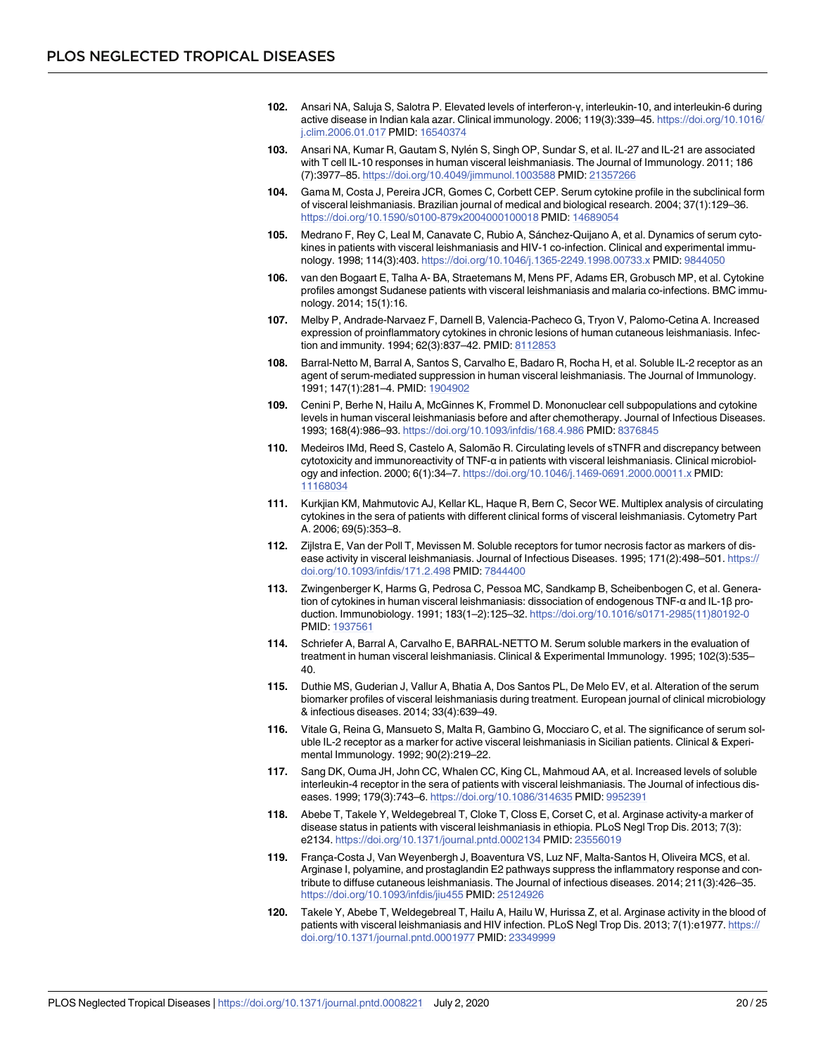- <span id="page-19-0"></span>**[102.](#page-6-0)** Ansari NA, Saluja S, Salotra P. Elevated levels of interferon-γ, interleukin-10, and interleukin-6 during active disease in Indian kala azar. Clinical immunology. 2006; 119(3):339–45. [https://doi.org/10.1016/](https://doi.org/10.1016/j.clim.2006.01.017) [j.clim.2006.01.017](https://doi.org/10.1016/j.clim.2006.01.017) PMID: [16540374](http://www.ncbi.nlm.nih.gov/pubmed/16540374)
- **103.** Ansari NA, Kumar R, Gautam S, Nylén S, Singh OP, Sundar S, et al. IL-27 and IL-21 are associated with T cell IL-10 responses in human visceral leishmaniasis. The Journal of Immunology. 2011; 186 (7):3977–85. <https://doi.org/10.4049/jimmunol.1003588> PMID: [21357266](http://www.ncbi.nlm.nih.gov/pubmed/21357266)
- **[104.](#page-6-0)** Gama M, Costa J, Pereira JCR, Gomes C, Corbett CEP. Serum cytokine profile in the subclinical form of visceral leishmaniasis. Brazilian journal of medical and biological research. 2004; 37(1):129–36. <https://doi.org/10.1590/s0100-879x2004000100018> PMID: [14689054](http://www.ncbi.nlm.nih.gov/pubmed/14689054)
- **105.** Medrano F, Rey C, Leal M, Canavate C, Rubio A, Sánchez-Quijano A, et al. Dynamics of serum cytokines in patients with visceral leishmaniasis and HIV-1 co-infection. Clinical and experimental immunology. 1998; 114(3):403. <https://doi.org/10.1046/j.1365-2249.1998.00733.x> PMID: [9844050](http://www.ncbi.nlm.nih.gov/pubmed/9844050)
- **[106.](#page-6-0)** van den Bogaart E, Talha A- BA, Straetemans M, Mens PF, Adams ER, Grobusch MP, et al. Cytokine profiles amongst Sudanese patients with visceral leishmaniasis and malaria co-infections. BMC immunology. 2014; 15(1):16.
- **[107.](#page-6-0)** Melby P, Andrade-Narvaez F, Darnell B, Valencia-Pacheco G, Tryon V, Palomo-Cetina A. Increased expression of proinflammatory cytokines in chronic lesions of human cutaneous leishmaniasis. Infection and immunity. 1994; 62(3):837–42. PMID: [8112853](http://www.ncbi.nlm.nih.gov/pubmed/8112853)
- **[108.](#page-6-0)** Barral-Netto M, Barral A, Santos S, Carvalho E, Badaro R, Rocha H, et al. Soluble IL-2 receptor as an agent of serum-mediated suppression in human visceral leishmaniasis. The Journal of Immunology. 1991; 147(1):281–4. PMID: [1904902](http://www.ncbi.nlm.nih.gov/pubmed/1904902)
- **109.** Cenini P, Berhe N, Hailu A, McGinnes K, Frommel D. Mononuclear cell subpopulations and cytokine levels in human visceral leishmaniasis before and after chemotherapy. Journal of Infectious Diseases. 1993; 168(4):986–93. <https://doi.org/10.1093/infdis/168.4.986> PMID: [8376845](http://www.ncbi.nlm.nih.gov/pubmed/8376845)
- **110.** Medeiros IMd, Reed S, Castelo A, Salomão R. Circulating levels of sTNFR and discrepancy between cytotoxicity and immunoreactivity of TNF-α in patients with visceral leishmaniasis. Clinical microbiology and infection. 2000; 6(1):34–7. <https://doi.org/10.1046/j.1469-0691.2000.00011.x> PMID: [11168034](http://www.ncbi.nlm.nih.gov/pubmed/11168034)
- **111.** Kurkjian KM, Mahmutovic AJ, Kellar KL, Haque R, Bern C, Secor WE. Multiplex analysis of circulating cytokines in the sera of patients with different clinical forms of visceral leishmaniasis. Cytometry Part A. 2006; 69(5):353–8.
- **112.** Zijlstra E, Van der Poll T, Mevissen M. Soluble receptors for tumor necrosis factor as markers of disease activity in visceral leishmaniasis. Journal of Infectious Diseases. 1995; 171(2):498-501. [https://](https://doi.org/10.1093/infdis/171.2.498) [doi.org/10.1093/infdis/171.2.498](https://doi.org/10.1093/infdis/171.2.498) PMID: [7844400](http://www.ncbi.nlm.nih.gov/pubmed/7844400)
- **[113.](#page-6-0)** Zwingenberger K, Harms G, Pedrosa C, Pessoa MC, Sandkamp B, Scheibenbogen C, et al. Generation of cytokines in human visceral leishmaniasis: dissociation of endogenous TNF-α and IL-1β production. Immunobiology. 1991; 183(1–2):125–32. [https://doi.org/10.1016/s0171-2985\(11\)80192-0](https://doi.org/10.1016/s0171-2985(11)80192-0) PMID: [1937561](http://www.ncbi.nlm.nih.gov/pubmed/1937561)
- **[114.](#page-6-0)** Schriefer A, Barral A, Carvalho E, BARRAL-NETTO M. Serum soluble markers in the evaluation of treatment in human visceral leishmaniasis. Clinical & Experimental Immunology. 1995; 102(3):535– 40.
- **115.** Duthie MS, Guderian J, Vallur A, Bhatia A, Dos Santos PL, De Melo EV, et al. Alteration of the serum biomarker profiles of visceral leishmaniasis during treatment. European journal of clinical microbiology & infectious diseases. 2014; 33(4):639–49.
- **116.** Vitale G, Reina G, Mansueto S, Malta R, Gambino G, Mocciaro C, et al. The significance of serum soluble IL-2 receptor as a marker for active visceral leishmaniasis in Sicilian patients. Clinical & Experimental Immunology. 1992; 90(2):219–22.
- **[117.](#page-6-0)** Sang DK, Ouma JH, John CC, Whalen CC, King CL, Mahmoud AA, et al. Increased levels of soluble interleukin-4 receptor in the sera of patients with visceral leishmaniasis. The Journal of infectious diseases. 1999; 179(3):743–6. <https://doi.org/10.1086/314635> PMID: [9952391](http://www.ncbi.nlm.nih.gov/pubmed/9952391)
- **[118.](#page-6-0)** Abebe T, Takele Y, Weldegebreal T, Cloke T, Closs E, Corset C, et al. Arginase activity-a marker of disease status in patients with visceral leishmaniasis in ethiopia. PLoS Negl Trop Dis. 2013; 7(3): e2134. <https://doi.org/10.1371/journal.pntd.0002134> PMID: [23556019](http://www.ncbi.nlm.nih.gov/pubmed/23556019)
- 119. França-Costa J, Van Weyenbergh J, Boaventura VS, Luz NF, Malta-Santos H, Oliveira MCS, et al. Arginase I, polyamine, and prostaglandin E2 pathways suppress the inflammatory response and contribute to diffuse cutaneous leishmaniasis. The Journal of infectious diseases. 2014; 211(3):426–35. <https://doi.org/10.1093/infdis/jiu455> PMID: [25124926](http://www.ncbi.nlm.nih.gov/pubmed/25124926)
- **120.** Takele Y, Abebe T, Weldegebreal T, Hailu A, Hailu W, Hurissa Z, et al. Arginase activity in the blood of patients with visceral leishmaniasis and HIV infection. PLoS Negl Trop Dis. 2013; 7(1):e1977. [https://](https://doi.org/10.1371/journal.pntd.0001977) [doi.org/10.1371/journal.pntd.0001977](https://doi.org/10.1371/journal.pntd.0001977) PMID: [23349999](http://www.ncbi.nlm.nih.gov/pubmed/23349999)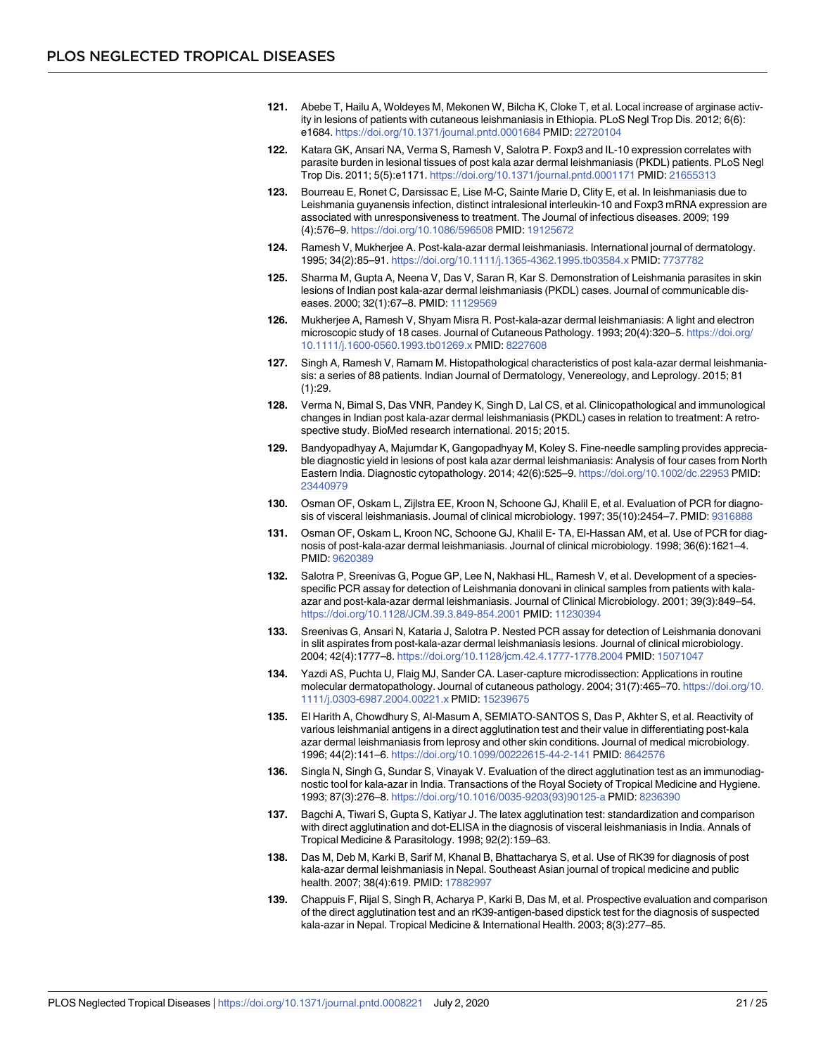- <span id="page-20-0"></span>**[121.](#page-6-0)** Abebe T, Hailu A, Woldeyes M, Mekonen W, Bilcha K, Cloke T, et al. Local increase of arginase activity in lesions of patients with cutaneous leishmaniasis in Ethiopia. PLoS Negl Trop Dis. 2012; 6(6): e1684. <https://doi.org/10.1371/journal.pntd.0001684> PMID: [22720104](http://www.ncbi.nlm.nih.gov/pubmed/22720104)
- **[122.](#page-6-0)** Katara GK, Ansari NA, Verma S, Ramesh V, Salotra P. Foxp3 and IL-10 expression correlates with parasite burden in lesional tissues of post kala azar dermal leishmaniasis (PKDL) patients. PLoS Negl Trop Dis. 2011; 5(5):e1171. <https://doi.org/10.1371/journal.pntd.0001171> PMID: [21655313](http://www.ncbi.nlm.nih.gov/pubmed/21655313)
- **[123.](#page-6-0)** Bourreau E, Ronet C, Darsissac E, Lise M-C, Sainte Marie D, Clity E, et al. In leishmaniasis due to Leishmania guyanensis infection, distinct intralesional interleukin-10 and Foxp3 mRNA expression are associated with unresponsiveness to treatment. The Journal of infectious diseases. 2009; 199 (4):576–9. <https://doi.org/10.1086/596508> PMID: [19125672](http://www.ncbi.nlm.nih.gov/pubmed/19125672)
- **[124.](#page-5-0)** Ramesh V, Mukherjee A. Post-kala-azar dermal leishmaniasis. International journal of dermatology. 1995; 34(2):85–91. <https://doi.org/10.1111/j.1365-4362.1995.tb03584.x> PMID: [7737782](http://www.ncbi.nlm.nih.gov/pubmed/7737782)
- **[125.](#page-5-0)** Sharma M, Gupta A, Neena V, Das V, Saran R, Kar S. Demonstration of Leishmania parasites in skin lesions of Indian post kala-azar dermal leishmaniasis (PKDL) cases. Journal of communicable diseases. 2000; 32(1):67–8. PMID: [11129569](http://www.ncbi.nlm.nih.gov/pubmed/11129569)
- **[126.](#page-5-0)** Mukherjee A, Ramesh V, Shyam Misra R. Post-kala-azar dermal leishmaniasis: A light and electron microscopic study of 18 cases. Journal of Cutaneous Pathology. 1993; 20(4):320–5. [https://doi.org/](https://doi.org/10.1111/j.1600-0560.1993.tb01269.x) [10.1111/j.1600-0560.1993.tb01269.x](https://doi.org/10.1111/j.1600-0560.1993.tb01269.x) PMID: [8227608](http://www.ncbi.nlm.nih.gov/pubmed/8227608)
- **[127.](#page-5-0)** Singh A, Ramesh V, Ramam M. Histopathological characteristics of post kala-azar dermal leishmaniasis: a series of 88 patients. Indian Journal of Dermatology, Venereology, and Leprology. 2015; 81  $(1):29.$
- **[128.](#page-7-0)** Verma N, Bimal S, Das VNR, Pandey K, Singh D, Lal CS, et al. Clinicopathological and immunological changes in Indian post kala-azar dermal leishmaniasis (PKDL) cases in relation to treatment: A retrospective study. BioMed research international. 2015; 2015.
- **[129.](#page-5-0)** Bandyopadhyay A, Majumdar K, Gangopadhyay M, Koley S. Fine-needle sampling provides appreciable diagnostic yield in lesions of post kala azar dermal leishmaniasis: Analysis of four cases from North Eastern India. Diagnostic cytopathology. 2014; 42(6):525–9. <https://doi.org/10.1002/dc.22953> PMID: [23440979](http://www.ncbi.nlm.nih.gov/pubmed/23440979)
- **[130.](#page-7-0)** Osman OF, Oskam L, Zijlstra EE, Kroon N, Schoone GJ, Khalil E, et al. Evaluation of PCR for diagnosis of visceral leishmaniasis. Journal of clinical microbiology. 1997; 35(10):2454–7. PMID: [9316888](http://www.ncbi.nlm.nih.gov/pubmed/9316888)
- **[131.](#page-7-0)** Osman OF, Oskam L, Kroon NC, Schoone GJ, Khalil E- TA, El-Hassan AM, et al. Use of PCR for diagnosis of post-kala-azar dermal leishmaniasis. Journal of clinical microbiology. 1998; 36(6):1621–4. PMID: [9620389](http://www.ncbi.nlm.nih.gov/pubmed/9620389)
- **[132.](#page-7-0)** Salotra P, Sreenivas G, Pogue GP, Lee N, Nakhasi HL, Ramesh V, et al. Development of a speciesspecific PCR assay for detection of Leishmania donovani in clinical samples from patients with kalaazar and post-kala-azar dermal leishmaniasis. Journal of Clinical Microbiology. 2001; 39(3):849–54. <https://doi.org/10.1128/JCM.39.3.849-854.2001> PMID: [11230394](http://www.ncbi.nlm.nih.gov/pubmed/11230394)
- **[133.](#page-7-0)** Sreenivas G, Ansari N, Kataria J, Salotra P. Nested PCR assay for detection of Leishmania donovani in slit aspirates from post-kala-azar dermal leishmaniasis lesions. Journal of clinical microbiology. 2004; 42(4):1777–8. <https://doi.org/10.1128/jcm.42.4.1777-1778.2004> PMID: [15071047](http://www.ncbi.nlm.nih.gov/pubmed/15071047)
- **[134.](#page-7-0)** Yazdi AS, Puchta U, Flaig MJ, Sander CA. Laser-capture microdissection: Applications in routine molecular dermatopathology. Journal of cutaneous pathology. 2004; 31(7):465–70. [https://doi.org/10.](https://doi.org/10.1111/j.0303-6987.2004.00221.x) [1111/j.0303-6987.2004.00221.x](https://doi.org/10.1111/j.0303-6987.2004.00221.x) PMID: [15239675](http://www.ncbi.nlm.nih.gov/pubmed/15239675)
- **[135.](#page-8-0)** El Harith A, Chowdhury S, Al-Masum A, SEMIATO-SANTOS S, Das P, Akhter S, et al. Reactivity of various leishmanial antigens in a direct agglutination test and their value in differentiating post-kala azar dermal leishmaniasis from leprosy and other skin conditions. Journal of medical microbiology. 1996; 44(2):141–6. <https://doi.org/10.1099/00222615-44-2-141> PMID: [8642576](http://www.ncbi.nlm.nih.gov/pubmed/8642576)
- **[136.](#page-8-0)** Singla N, Singh G, Sundar S, Vinayak V. Evaluation of the direct agglutination test as an immunodiagnostic tool for kala-azar in India. Transactions of the Royal Society of Tropical Medicine and Hygiene. 1993; 87(3):276–8. [https://doi.org/10.1016/0035-9203\(93\)90125-a](https://doi.org/10.1016/0035-9203(93)90125-a) PMID: [8236390](http://www.ncbi.nlm.nih.gov/pubmed/8236390)
- **[137.](#page-8-0)** Bagchi A, Tiwari S, Gupta S, Katiyar J. The latex agglutination test: standardization and comparison with direct agglutination and dot-ELISA in the diagnosis of visceral leishmaniasis in India. Annals of Tropical Medicine & Parasitology. 1998; 92(2):159–63.
- **[138.](#page-8-0)** Das M, Deb M, Karki B, Sarif M, Khanal B, Bhattacharya S, et al. Use of RK39 for diagnosis of post kala-azar dermal leishmaniasis in Nepal. Southeast Asian journal of tropical medicine and public health. 2007; 38(4):619. PMID: [17882997](http://www.ncbi.nlm.nih.gov/pubmed/17882997)
- **[139.](#page-8-0)** Chappuis F, Rijal S, Singh R, Acharya P, Karki B, Das M, et al. Prospective evaluation and comparison of the direct agglutination test and an rK39-antigen-based dipstick test for the diagnosis of suspected kala-azar in Nepal. Tropical Medicine & International Health. 2003; 8(3):277–85.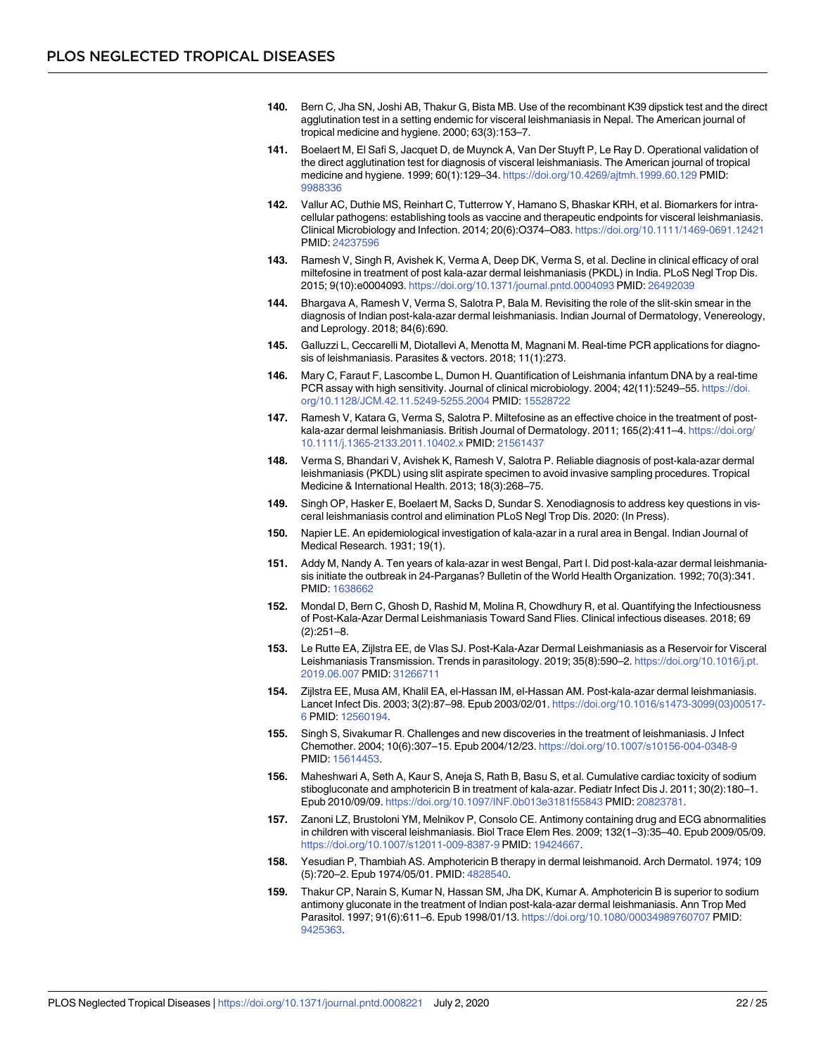- <span id="page-21-0"></span>**[140.](#page-8-0)** Bern C, Jha SN, Joshi AB, Thakur G, Bista MB. Use of the recombinant K39 dipstick test and the direct agglutination test in a setting endemic for visceral leishmaniasis in Nepal. The American journal of tropical medicine and hygiene. 2000; 63(3):153–7.
- **[141.](#page-8-0)** Boelaert M, El Safi S, Jacquet D, de Muynck A, Van Der Stuyft P, Le Ray D. Operational validation of the direct agglutination test for diagnosis of visceral leishmaniasis. The American journal of tropical medicine and hygiene. 1999; 60(1):129–34. <https://doi.org/10.4269/ajtmh.1999.60.129> PMID: [9988336](http://www.ncbi.nlm.nih.gov/pubmed/9988336)
- **[142.](#page-8-0)** Vallur AC, Duthie MS, Reinhart C, Tutterrow Y, Hamano S, Bhaskar KRH, et al. Biomarkers for intracellular pathogens: establishing tools as vaccine and therapeutic endpoints for visceral leishmaniasis. Clinical Microbiology and Infection. 2014; 20(6):O374–O83. <https://doi.org/10.1111/1469-0691.12421> PMID: [24237596](http://www.ncbi.nlm.nih.gov/pubmed/24237596)
- **[143.](#page-8-0)** Ramesh V, Singh R, Avishek K, Verma A, Deep DK, Verma S, et al. Decline in clinical efficacy of oral miltefosine in treatment of post kala-azar dermal leishmaniasis (PKDL) in India. PLoS Negl Trop Dis. 2015; 9(10):e0004093. <https://doi.org/10.1371/journal.pntd.0004093> PMID: [26492039](http://www.ncbi.nlm.nih.gov/pubmed/26492039)
- **[144.](#page-8-0)** Bhargava A, Ramesh V, Verma S, Salotra P, Bala M. Revisiting the role of the slit-skin smear in the diagnosis of Indian post-kala-azar dermal leishmaniasis. Indian Journal of Dermatology, Venereology, and Leprology. 2018; 84(6):690.
- **[145.](#page-8-0)** Galluzzi L, Ceccarelli M, Diotallevi A, Menotta M, Magnani M. Real-time PCR applications for diagnosis of leishmaniasis. Parasites & vectors. 2018; 11(1):273.
- **[146.](#page-8-0)** Mary C, Faraut F, Lascombe L, Dumon H. Quantification of Leishmania infantum DNA by a real-time PCR assay with high sensitivity. Journal of clinical microbiology. 2004; 42(11):5249-55. [https://doi.](https://doi.org/10.1128/JCM.42.11.5249-5255.2004) [org/10.1128/JCM.42.11.5249-5255.2004](https://doi.org/10.1128/JCM.42.11.5249-5255.2004) PMID: [15528722](http://www.ncbi.nlm.nih.gov/pubmed/15528722)
- **[147.](#page-9-0)** Ramesh V, Katara G, Verma S, Salotra P. Miltefosine as an effective choice in the treatment of postkala-azar dermal leishmaniasis. British Journal of Dermatology. 2011; 165(2):411-4. [https://doi.org/](https://doi.org/10.1111/j.1365-2133.2011.10402.x) [10.1111/j.1365-2133.2011.10402.x](https://doi.org/10.1111/j.1365-2133.2011.10402.x) PMID: [21561437](http://www.ncbi.nlm.nih.gov/pubmed/21561437)
- **[148.](#page-9-0)** Verma S, Bhandari V, Avishek K, Ramesh V, Salotra P. Reliable diagnosis of post-kala-azar dermal leishmaniasis (PKDL) using slit aspirate specimen to avoid invasive sampling procedures. Tropical Medicine & International Health. 2013; 18(3):268–75.
- **[149.](#page-9-0)** Singh OP, Hasker E, Boelaert M, Sacks D, Sundar S. Xenodiagnosis to address key questions in visceral leishmaniasis control and elimination PLoS Negl Trop Dis. 2020: (In Press).
- **[150.](#page-9-0)** Napier LE. An epidemiological investigation of kala-azar in a rural area in Bengal. Indian Journal of Medical Research. 1931; 19(1).
- **[151.](#page-9-0)** Addy M, Nandy A. Ten years of kala-azar in west Bengal, Part I. Did post-kala-azar dermal leishmaniasis initiate the outbreak in 24-Parganas? Bulletin of the World Health Organization. 1992; 70(3):341. PMID: [1638662](http://www.ncbi.nlm.nih.gov/pubmed/1638662)
- **[152.](#page-9-0)** Mondal D, Bern C, Ghosh D, Rashid M, Molina R, Chowdhury R, et al. Quantifying the Infectiousness of Post-Kala-Azar Dermal Leishmaniasis Toward Sand Flies. Clinical infectious diseases. 2018; 69 (2):251–8.
- **[153.](#page-9-0)** Le Rutte EA, Zijlstra EE, de Vlas SJ. Post-Kala-Azar Dermal Leishmaniasis as a Reservoir for Visceral Leishmaniasis Transmission. Trends in parasitology. 2019; 35(8):590–2. [https://doi.org/10.1016/j.pt.](https://doi.org/10.1016/j.pt.2019.06.007) [2019.06.007](https://doi.org/10.1016/j.pt.2019.06.007) PMID: [31266711](http://www.ncbi.nlm.nih.gov/pubmed/31266711)
- **[154.](#page-9-0)** Zijlstra EE, Musa AM, Khalil EA, el-Hassan IM, el-Hassan AM. Post-kala-azar dermal leishmaniasis. Lancet Infect Dis. 2003; 3(2):87–98. Epub 2003/02/01. [https://doi.org/10.1016/s1473-3099\(03\)00517-](https://doi.org/10.1016/s1473-3099(03)00517-6) [6](https://doi.org/10.1016/s1473-3099(03)00517-6) PMID: [12560194.](http://www.ncbi.nlm.nih.gov/pubmed/12560194)
- **[155.](#page-9-0)** Singh S, Sivakumar R. Challenges and new discoveries in the treatment of leishmaniasis. J Infect Chemother. 2004; 10(6):307–15. Epub 2004/12/23. <https://doi.org/10.1007/s10156-004-0348-9> PMID: [15614453.](http://www.ncbi.nlm.nih.gov/pubmed/15614453)
- **156.** Maheshwari A, Seth A, Kaur S, Aneja S, Rath B, Basu S, et al. Cumulative cardiac toxicity of sodium stibogluconate and amphotericin B in treatment of kala-azar. Pediatr Infect Dis J. 2011; 30(2):180–1. Epub 2010/09/09. <https://doi.org/10.1097/INF.0b013e3181f55843> PMID: [20823781.](http://www.ncbi.nlm.nih.gov/pubmed/20823781)
- **[157.](#page-9-0)** Zanoni LZ, Brustoloni YM, Melnikov P, Consolo CE. Antimony containing drug and ECG abnormalities in children with visceral leishmaniasis. Biol Trace Elem Res. 2009; 132(1–3):35–40. Epub 2009/05/09. <https://doi.org/10.1007/s12011-009-8387-9> PMID: [19424667](http://www.ncbi.nlm.nih.gov/pubmed/19424667).
- **[158.](#page-9-0)** Yesudian P, Thambiah AS. Amphotericin B therapy in dermal leishmanoid. Arch Dermatol. 1974; 109 (5):720–2. Epub 1974/05/01. PMID: [4828540](http://www.ncbi.nlm.nih.gov/pubmed/4828540).
- **[159.](#page-9-0)** Thakur CP, Narain S, Kumar N, Hassan SM, Jha DK, Kumar A. Amphotericin B is superior to sodium antimony gluconate in the treatment of Indian post-kala-azar dermal leishmaniasis. Ann Trop Med Parasitol. 1997; 91(6):611–6. Epub 1998/01/13. <https://doi.org/10.1080/00034989760707> PMID: [9425363.](http://www.ncbi.nlm.nih.gov/pubmed/9425363)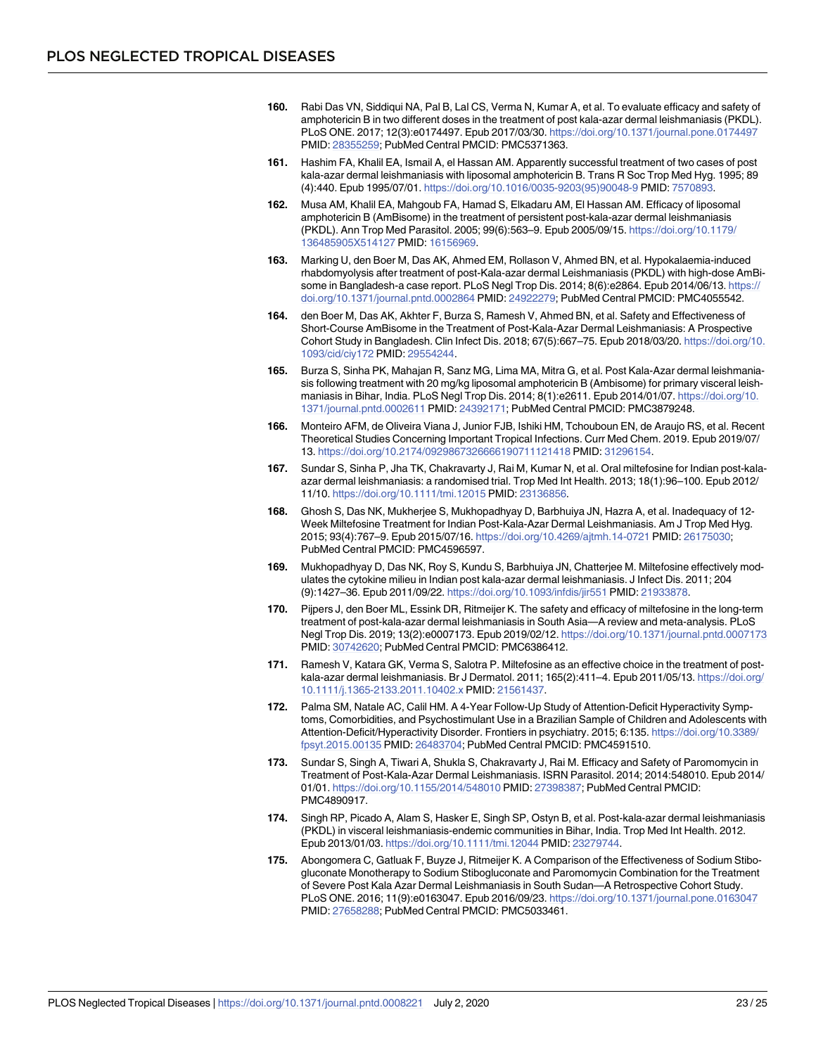- <span id="page-22-0"></span>**[160.](#page-9-0)** Rabi Das VN, Siddiqui NA, Pal B, Lal CS, Verma N, Kumar A, et al. To evaluate efficacy and safety of amphotericin B in two different doses in the treatment of post kala-azar dermal leishmaniasis (PKDL). PLoS ONE. 2017; 12(3):e0174497. Epub 2017/03/30. <https://doi.org/10.1371/journal.pone.0174497> PMID: [28355259;](http://www.ncbi.nlm.nih.gov/pubmed/28355259) PubMed Central PMCID: PMC5371363.
- **[161.](#page-10-0)** Hashim FA, Khalil EA, Ismail A, el Hassan AM. Apparently successful treatment of two cases of post kala-azar dermal leishmaniasis with liposomal amphotericin B. Trans R Soc Trop Med Hyg. 1995; 89 (4):440. Epub 1995/07/01. [https://doi.org/10.1016/0035-9203\(95\)90048-9](https://doi.org/10.1016/0035-9203(95)90048-9) PMID: [7570893](http://www.ncbi.nlm.nih.gov/pubmed/7570893).
- **[162.](#page-10-0)** Musa AM, Khalil EA, Mahgoub FA, Hamad S, Elkadaru AM, El Hassan AM. Efficacy of liposomal amphotericin B (AmBisome) in the treatment of persistent post-kala-azar dermal leishmaniasis (PKDL). Ann Trop Med Parasitol. 2005; 99(6):563–9. Epub 2005/09/15. [https://doi.org/10.1179/](https://doi.org/10.1179/136485905X514127) [136485905X514127](https://doi.org/10.1179/136485905X514127) PMID: [16156969](http://www.ncbi.nlm.nih.gov/pubmed/16156969).
- **[163.](#page-10-0)** Marking U, den Boer M, Das AK, Ahmed EM, Rollason V, Ahmed BN, et al. Hypokalaemia-induced rhabdomyolysis after treatment of post-Kala-azar dermal Leishmaniasis (PKDL) with high-dose AmBisome in Bangladesh-a case report. PLoS Negl Trop Dis. 2014; 8(6):e2864. Epub 2014/06/13. [https://](https://doi.org/10.1371/journal.pntd.0002864) [doi.org/10.1371/journal.pntd.0002864](https://doi.org/10.1371/journal.pntd.0002864) PMID: [24922279;](http://www.ncbi.nlm.nih.gov/pubmed/24922279) PubMed Central PMCID: PMC4055542.
- **[164.](#page-10-0)** den Boer M, Das AK, Akhter F, Burza S, Ramesh V, Ahmed BN, et al. Safety and Effectiveness of Short-Course AmBisome in the Treatment of Post-Kala-Azar Dermal Leishmaniasis: A Prospective Cohort Study in Bangladesh. Clin Infect Dis. 2018; 67(5):667–75. Epub 2018/03/20. [https://doi.org/10.](https://doi.org/10.1093/cid/ciy172) [1093/cid/ciy172](https://doi.org/10.1093/cid/ciy172) PMID: [29554244.](http://www.ncbi.nlm.nih.gov/pubmed/29554244)
- **[165.](#page-10-0)** Burza S, Sinha PK, Mahajan R, Sanz MG, Lima MA, Mitra G, et al. Post Kala-Azar dermal leishmaniasis following treatment with 20 mg/kg liposomal amphotericin B (Ambisome) for primary visceral leishmaniasis in Bihar, India. PLoS Negl Trop Dis. 2014; 8(1):e2611. Epub 2014/01/07. [https://doi.org/10.](https://doi.org/10.1371/journal.pntd.0002611) [1371/journal.pntd.0002611](https://doi.org/10.1371/journal.pntd.0002611) PMID: [24392171;](http://www.ncbi.nlm.nih.gov/pubmed/24392171) PubMed Central PMCID: PMC3879248.
- **[166.](#page-10-0)** Monteiro AFM, de Oliveira Viana J, Junior FJB, Ishiki HM, Tchouboun EN, de Araujo RS, et al. Recent Theoretical Studies Concerning Important Tropical Infections. Curr Med Chem. 2019. Epub 2019/07/ 13. <https://doi.org/10.2174/0929867326666190711121418> PMID: [31296154.](http://www.ncbi.nlm.nih.gov/pubmed/31296154)
- **[167.](#page-10-0)** Sundar S, Sinha P, Jha TK, Chakravarty J, Rai M, Kumar N, et al. Oral miltefosine for Indian post-kalaazar dermal leishmaniasis: a randomised trial. Trop Med Int Health. 2013; 18(1):96–100. Epub 2012/ 11/10. <https://doi.org/10.1111/tmi.12015> PMID: [23136856.](http://www.ncbi.nlm.nih.gov/pubmed/23136856)
- **[168.](#page-10-0)** Ghosh S, Das NK, Mukherjee S, Mukhopadhyay D, Barbhuiya JN, Hazra A, et al. Inadequacy of 12- Week Miltefosine Treatment for Indian Post-Kala-Azar Dermal Leishmaniasis. Am J Trop Med Hyg. 2015; 93(4):767–9. Epub 2015/07/16. <https://doi.org/10.4269/ajtmh.14-0721> PMID: [26175030](http://www.ncbi.nlm.nih.gov/pubmed/26175030); PubMed Central PMCID: PMC4596597.
- **[169.](#page-10-0)** Mukhopadhyay D, Das NK, Roy S, Kundu S, Barbhuiya JN, Chatterjee M. Miltefosine effectively modulates the cytokine milieu in Indian post kala-azar dermal leishmaniasis. J Infect Dis. 2011; 204 (9):1427–36. Epub 2011/09/22. <https://doi.org/10.1093/infdis/jir551> PMID: [21933878](http://www.ncbi.nlm.nih.gov/pubmed/21933878).
- **[170.](#page-10-0)** Pijpers J, den Boer ML, Essink DR, Ritmeijer K. The safety and efficacy of miltefosine in the long-term treatment of post-kala-azar dermal leishmaniasis in South Asia—A review and meta-analysis. PLoS Negl Trop Dis. 2019; 13(2):e0007173. Epub 2019/02/12. <https://doi.org/10.1371/journal.pntd.0007173> PMID: [30742620;](http://www.ncbi.nlm.nih.gov/pubmed/30742620) PubMed Central PMCID: PMC6386412.
- **[171.](#page-10-0)** Ramesh V, Katara GK, Verma S, Salotra P. Miltefosine as an effective choice in the treatment of postkala-azar dermal leishmaniasis. Br J Dermatol. 2011; 165(2):411-4. Epub 2011/05/13. [https://doi.org/](https://doi.org/10.1111/j.1365-2133.2011.10402.x) [10.1111/j.1365-2133.2011.10402.x](https://doi.org/10.1111/j.1365-2133.2011.10402.x) PMID: [21561437](http://www.ncbi.nlm.nih.gov/pubmed/21561437).
- **[172.](#page-10-0)** Palma SM, Natale AC, Calil HM. A 4-Year Follow-Up Study of Attention-Deficit Hyperactivity Symptoms, Comorbidities, and Psychostimulant Use in a Brazilian Sample of Children and Adolescents with Attention-Deficit/Hyperactivity Disorder. Frontiers in psychiatry. 2015; 6:135. [https://doi.org/10.3389/](https://doi.org/10.3389/fpsyt.2015.00135) [fpsyt.2015.00135](https://doi.org/10.3389/fpsyt.2015.00135) PMID: [26483704;](http://www.ncbi.nlm.nih.gov/pubmed/26483704) PubMed Central PMCID: PMC4591510.
- **[173.](#page-10-0)** Sundar S, Singh A, Tiwari A, Shukla S, Chakravarty J, Rai M. Efficacy and Safety of Paromomycin in Treatment of Post-Kala-Azar Dermal Leishmaniasis. ISRN Parasitol. 2014; 2014:548010. Epub 2014/ 01/01. <https://doi.org/10.1155/2014/548010> PMID: [27398387](http://www.ncbi.nlm.nih.gov/pubmed/27398387); PubMed Central PMCID: PMC4890917.
- **[174.](#page-10-0)** Singh RP, Picado A, Alam S, Hasker E, Singh SP, Ostyn B, et al. Post-kala-azar dermal leishmaniasis (PKDL) in visceral leishmaniasis-endemic communities in Bihar, India. Trop Med Int Health. 2012. Epub 2013/01/03. <https://doi.org/10.1111/tmi.12044> PMID: [23279744.](http://www.ncbi.nlm.nih.gov/pubmed/23279744)
- **[175.](#page-10-0)** Abongomera C, Gatluak F, Buyze J, Ritmeijer K. A Comparison of the Effectiveness of Sodium Stibogluconate Monotherapy to Sodium Stibogluconate and Paromomycin Combination for the Treatment of Severe Post Kala Azar Dermal Leishmaniasis in South Sudan—A Retrospective Cohort Study. PLoS ONE. 2016; 11(9):e0163047. Epub 2016/09/23. <https://doi.org/10.1371/journal.pone.0163047> PMID: [27658288;](http://www.ncbi.nlm.nih.gov/pubmed/27658288) PubMed Central PMCID: PMC5033461.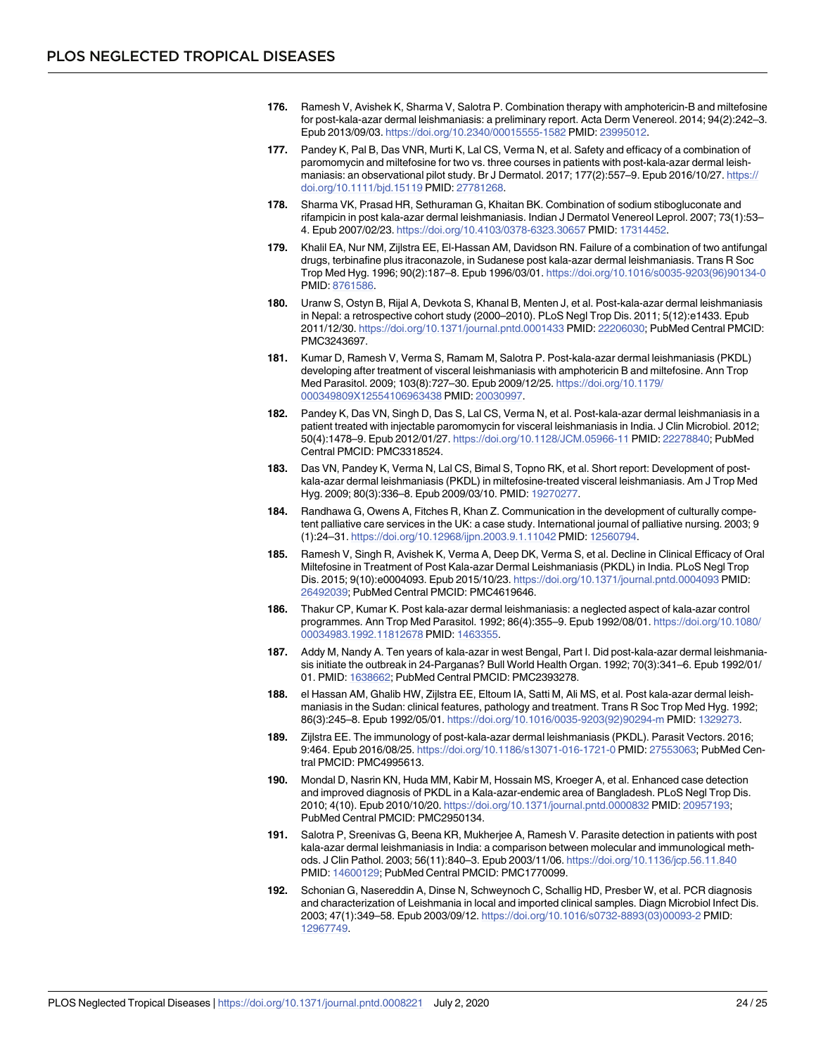- <span id="page-23-0"></span>**[176.](#page-10-0)** Ramesh V, Avishek K, Sharma V, Salotra P. Combination therapy with amphotericin-B and miltefosine for post-kala-azar dermal leishmaniasis: a preliminary report. Acta Derm Venereol. 2014; 94(2):242–3. Epub 2013/09/03. <https://doi.org/10.2340/00015555-1582> PMID: [23995012](http://www.ncbi.nlm.nih.gov/pubmed/23995012).
- **[177.](#page-10-0)** Pandey K, Pal B, Das VNR, Murti K, Lal CS, Verma N, et al. Safety and efficacy of a combination of paromomycin and miltefosine for two vs. three courses in patients with post-kala-azar dermal leishmaniasis: an observational pilot study. Br J Dermatol. 2017; 177(2):557–9. Epub 2016/10/27. [https://](https://doi.org/10.1111/bjd.15119) [doi.org/10.1111/bjd.15119](https://doi.org/10.1111/bjd.15119) PMID: [27781268.](http://www.ncbi.nlm.nih.gov/pubmed/27781268)
- **[178.](#page-10-0)** Sharma VK, Prasad HR, Sethuraman G, Khaitan BK. Combination of sodium stibogluconate and rifampicin in post kala-azar dermal leishmaniasis. Indian J Dermatol Venereol Leprol. 2007; 73(1):53– 4. Epub 2007/02/23. <https://doi.org/10.4103/0378-6323.30657> PMID: [17314452](http://www.ncbi.nlm.nih.gov/pubmed/17314452).
- **[179.](#page-10-0)** Khalil EA, Nur NM, Zijlstra EE, El-Hassan AM, Davidson RN. Failure of a combination of two antifungal drugs, terbinafine plus itraconazole, in Sudanese post kala-azar dermal leishmaniasis. Trans R Soc Trop Med Hyg. 1996; 90(2):187–8. Epub 1996/03/01. [https://doi.org/10.1016/s0035-9203\(96\)90134-0](https://doi.org/10.1016/s0035-9203(96)90134-0) PMID: [8761586](http://www.ncbi.nlm.nih.gov/pubmed/8761586).
- **[180.](#page-11-0)** Uranw S, Ostyn B, Rijal A, Devkota S, Khanal B, Menten J, et al. Post-kala-azar dermal leishmaniasis in Nepal: a retrospective cohort study (2000–2010). PLoS Negl Trop Dis. 2011; 5(12):e1433. Epub 2011/12/30. <https://doi.org/10.1371/journal.pntd.0001433> PMID: [22206030;](http://www.ncbi.nlm.nih.gov/pubmed/22206030) PubMed Central PMCID: PMC3243697.
- **[181.](#page-11-0)** Kumar D, Ramesh V, Verma S, Ramam M, Salotra P. Post-kala-azar dermal leishmaniasis (PKDL) developing after treatment of visceral leishmaniasis with amphotericin B and miltefosine. Ann Trop Med Parasitol. 2009; 103(8):727–30. Epub 2009/12/25. [https://doi.org/10.1179/](https://doi.org/10.1179/000349809X12554106963438) [000349809X12554106963438](https://doi.org/10.1179/000349809X12554106963438) PMID: [20030997](http://www.ncbi.nlm.nih.gov/pubmed/20030997).
- **182.** Pandey K, Das VN, Singh D, Das S, Lal CS, Verma N, et al. Post-kala-azar dermal leishmaniasis in a patient treated with injectable paromomycin for visceral leishmaniasis in India. J Clin Microbiol. 2012; 50(4):1478–9. Epub 2012/01/27. <https://doi.org/10.1128/JCM.05966-11> PMID: [22278840;](http://www.ncbi.nlm.nih.gov/pubmed/22278840) PubMed Central PMCID: PMC3318524.
- **[183.](#page-11-0)** Das VN, Pandey K, Verma N, Lal CS, Bimal S, Topno RK, et al. Short report: Development of postkala-azar dermal leishmaniasis (PKDL) in miltefosine-treated visceral leishmaniasis. Am J Trop Med Hyg. 2009; 80(3):336–8. Epub 2009/03/10. PMID: [19270277.](http://www.ncbi.nlm.nih.gov/pubmed/19270277)
- **[184.](#page-11-0)** Randhawa G, Owens A, Fitches R, Khan Z. Communication in the development of culturally competent palliative care services in the UK: a case study. International journal of palliative nursing. 2003; 9 (1):24–31. <https://doi.org/10.12968/ijpn.2003.9.1.11042> PMID: [12560794.](http://www.ncbi.nlm.nih.gov/pubmed/12560794)
- **[185.](#page-11-0)** Ramesh V, Singh R, Avishek K, Verma A, Deep DK, Verma S, et al. Decline in Clinical Efficacy of Oral Miltefosine in Treatment of Post Kala-azar Dermal Leishmaniasis (PKDL) in India. PLoS Negl Trop Dis. 2015; 9(10):e0004093. Epub 2015/10/23. <https://doi.org/10.1371/journal.pntd.0004093> PMID: [26492039;](http://www.ncbi.nlm.nih.gov/pubmed/26492039) PubMed Central PMCID: PMC4619646.
- **[186.](#page-11-0)** Thakur CP, Kumar K. Post kala-azar dermal leishmaniasis: a neglected aspect of kala-azar control programmes. Ann Trop Med Parasitol. 1992; 86(4):355–9. Epub 1992/08/01. [https://doi.org/10.1080/](https://doi.org/10.1080/00034983.1992.11812678) [00034983.1992.11812678](https://doi.org/10.1080/00034983.1992.11812678) PMID: [1463355.](http://www.ncbi.nlm.nih.gov/pubmed/1463355)
- **[187.](#page-11-0)** Addy M, Nandy A. Ten years of kala-azar in west Bengal, Part I. Did post-kala-azar dermal leishmaniasis initiate the outbreak in 24-Parganas? Bull World Health Organ. 1992; 70(3):341–6. Epub 1992/01/ 01. PMID: [1638662](http://www.ncbi.nlm.nih.gov/pubmed/1638662); PubMed Central PMCID: PMC2393278.
- **[188.](#page-11-0)** el Hassan AM, Ghalib HW, Zijlstra EE, Eltoum IA, Satti M, Ali MS, et al. Post kala-azar dermal leishmaniasis in the Sudan: clinical features, pathology and treatment. Trans R Soc Trop Med Hyg. 1992; 86(3):245–8. Epub 1992/05/01. [https://doi.org/10.1016/0035-9203\(92\)90294-m](https://doi.org/10.1016/0035-9203(92)90294-m) PMID: [1329273.](http://www.ncbi.nlm.nih.gov/pubmed/1329273)
- **[189.](#page-11-0)** Zijlstra EE. The immunology of post-kala-azar dermal leishmaniasis (PKDL). Parasit Vectors. 2016; 9:464. Epub 2016/08/25. <https://doi.org/10.1186/s13071-016-1721-0> PMID: [27553063](http://www.ncbi.nlm.nih.gov/pubmed/27553063); PubMed Central PMCID: PMC4995613.
- **[190.](#page-11-0)** Mondal D, Nasrin KN, Huda MM, Kabir M, Hossain MS, Kroeger A, et al. Enhanced case detection and improved diagnosis of PKDL in a Kala-azar-endemic area of Bangladesh. PLoS Negl Trop Dis. 2010; 4(10). Epub 2010/10/20. <https://doi.org/10.1371/journal.pntd.0000832> PMID: [20957193;](http://www.ncbi.nlm.nih.gov/pubmed/20957193) PubMed Central PMCID: PMC2950134.
- **[191.](#page-11-0)** Salotra P, Sreenivas G, Beena KR, Mukherjee A, Ramesh V. Parasite detection in patients with post kala-azar dermal leishmaniasis in India: a comparison between molecular and immunological methods. J Clin Pathol. 2003; 56(11):840–3. Epub 2003/11/06. <https://doi.org/10.1136/jcp.56.11.840> PMID: [14600129;](http://www.ncbi.nlm.nih.gov/pubmed/14600129) PubMed Central PMCID: PMC1770099.
- **[192.](#page-11-0)** Schonian G, Nasereddin A, Dinse N, Schweynoch C, Schallig HD, Presber W, et al. PCR diagnosis and characterization of Leishmania in local and imported clinical samples. Diagn Microbiol Infect Dis. 2003; 47(1):349–58. Epub 2003/09/12. [https://doi.org/10.1016/s0732-8893\(03\)00093-2](https://doi.org/10.1016/s0732-8893(03)00093-2) PMID: [12967749.](http://www.ncbi.nlm.nih.gov/pubmed/12967749)